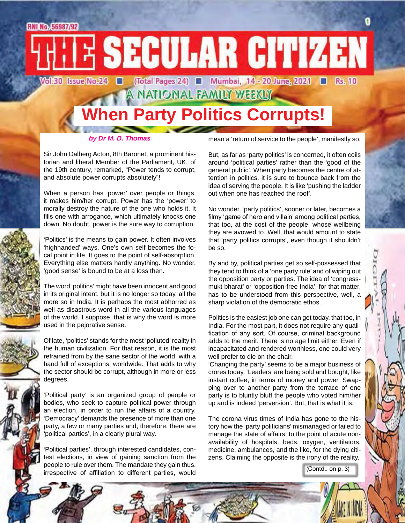A NATIONAL FAMILY WEEKLY

## **When Party Politics Corrupts!**

*by Dr M. D. Thomas*

mean a 'return of service to the people', manifestly so.

Sir John Dalberg Acton, 8th Baronet, a prominent historian and liberal Member of the Parliament, UK, of the 19th century, remarked, "Power tends to corrupt, and absolute power corrupts absolutely"!

When a person has 'power' over people or things, it makes him/her corrupt. Power has the 'power' to morally destroy the nature of the one who holds it. It fills one with arrogance, which ultimately knocks one down. No doubt, power is the sure way to corruption.

'Politics' is the means to gain power. It often involves 'highhanded' ways. One's own self becomes the focal point in life. It goes to the point of self-absorption. Everything else matters hardly anything. No wonder, 'good sense' is bound to be at a loss then.

The word 'politics' might have been innocent and good in its original intent, but it is no longer so today, all the more so in India. It is perhaps the most abhorred as well as disastrous word in all the various languages of the world. I suppose, that is why the word is more used in the pejorative sense.

Of late, 'politics' stands for the most 'polluted' reality in the human civilization. For that reason, it is the most refrained from by the sane sector of the world, with a hand full of exceptions, worldwide. That adds to why the sector should be corrupt, although in more or less degrees.

'Political party' is an organized group of people or bodies, who seek to capture political power through an election, in order to run the affairs of a country. 'Democracy' demands the presence of more than one party, a few or many parties and, therefore, there are 'political parties', in a clearly plural way.

'Political parties', through interested candidates, contest elections, in view of gaining sanction from the people to rule over them. The mandate they gain thus, irrespective of affiliation to different parties, would

But, as far as 'party politics' is concerned, it often coils around 'political parties' rather than the 'good of the general public'. When party becomes the centre of attention in politics, it is sure to bounce back from the idea of serving the people. It is like 'pushing the ladder out when one has reached the roof'.

No wonder, 'party politics', sooner or later, becomes a filmy 'game of hero and villain' among political parties, that too, at the cost of the people, whose wellbeing they are avowed to. Well, that would amount to state that 'party politics corrupts', even though it shouldn't be so.

By and by, political parties get so self-possessed that they tend to think of a 'one party rule' and of wiping out the opposition party or parties. The idea of 'congressmukt bharat' or 'opposition-free India', for that matter, has to be understood from this perspective, well, a sharp violation of the democratic ethos.

Politics is the easiest job one can get today, that too, in India. For the most part, it does not require any qualification of any sort. Of course, criminal background adds to the merit. There is no age limit either. Even if incapacitated and rendered worthless, one could very well prefer to die on the chair.

'Changing the party' seems to be a major business of crores today. 'Leaders' are being sold and bought, like instant coffee, in terms of money and power. Swapping over to another party from the terrace of one party is to bluntly bluff the people who voted him/her up and is indeed 'perversion'. But, that is what it is.

The corona virus times of India has gone to the history how the 'party politicians' mismanaged or failed to manage the state of affairs, to the point of acute nonavailability of hospitals, beds, oxygen, ventilators, medicine, ambulances, and the like, for the dying citizens. Claiming the opposite is the irony of the reality.

(Contd.. on p. 3)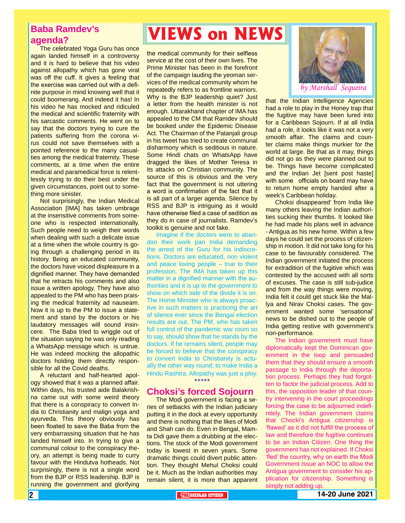#### **Baba Ramdev's agenda?**

The celebrated Yoga Guru has once again landed himself in a controversy and it is hard to believe that his video against allopathy which has gone viral was off the cuff. It gives a feeling that the exercise was carried out with a definite purpose in mind knowing well that it could boomerang. And indeed it has! In his video he has mocked and ridiculed the medical and scientific fraternity with his sarcastic comments. He went on to say that the doctors trying to cure the patients suffering from the corona virus could not save themselves with a pointed reference to the many casualties among the medical fraternity. These comments, at a time when the entire medical and paramedical force is relentlessly trying to do their best under the given circumstances, point out to something more sinister.

Not surprisingly, the Indian Medical Association [IMA] has taken umbrage at the insensitive comments from someone who is respected internationally. Such people need to weigh their words when dealing with such a delicate issue at a time when the whole country is going through a challenging period in its history. Being an educated community, the doctors have voiced displeasure in a dignified manner. They have demanded that he retracts his comments and also issue a written apology. They have also appealed to the PM who has been praising the medical fraternity ad nauseam. Now it is up to the PM to issue a statement and stand by the doctors or his laudatory messages will sound insincere. The Baba tried to wriggle out of the situation saying he was only reading a WhatsApp message which is untrue. He was indeed mocking the allopathic doctors holding them directly responsible for all the Covid deaths.

A reluctant and half-hearted apology showed that it was a planned affair. Within days, his trusted aide Balakrishna came out with some weird theory that there is a conspiracy to convert India to Christianity and malign yoga and ayurveda. This theory obviously has been floated to save the Baba from the very embarrassing situation that he has landed himself into. In trying to give a communal colour to the conspiracy theory, an attempt is being made to curry favour with the Hindutva hotheads. Not surprisingly, there is not a single word from the BJP or RSS leadership. BJP is running the government and glorifying

## **VIEWS on NEWS**

the medical community for their selfless service at the cost of their own lives. The Prime Minister has been in the forefront of the campaign lauding the yeoman services of the medical community whom he repeatedly refers to as frontline warriors. Why is the BJP leadership quiet? Just a letter from the health minister is not enough. Uttarakhand chapter of IMA has appealed to the CM that Ramdev should be booked under the Epidemic Disease Act. The Chairman of the Patanjali group in his tweet has tried to create communal disharmony which is seditious in nature. Some Hindi chats on WhatsApp have dragged the likes of Mother Teresa in its attacks on Christian community. The source of this is obvious and the very fact that the government is not uttering a word is confirmation of the fact that it is all part of a larger agenda. Silence by RSS and BJP is intriguing as it would have otherwise filed a case of sedition as they do in case of journalists. Ramdev's toolkit is genuine and not fake.

Imagine if the doctors were to abandon their work pan India demanding the arrest of the Guru for his indiscretions. Doctors are educated, non violent and peace loving people – true to their profession. The IMA has taken up this matter in a dignified manner with the authorities and it is up to the government to show on which side of the divide it is on. The Home Minister who is always proactive in such matters is practicing the art of silence ever since the Bengal election results are out. The PM, who has taken full control of the pandemic war room so to say, should show that he stands by the doctors. If he remains silent, people may be forced to believe that the conspiracy to convert India to Christianity is actually the other way round; to make India a Hindu Rashtra. Allopathy was just a ploy. \*\*\*\*\*

#### **Choksi's forced Sojourn**

The Modi government is facing a series of setbacks with the Indian judiciary putting it in the dock at every opportunity and there is nothing that the likes of Modi and Shah can do. Even in Bengal, Mamta Didi gave them a drubbing at the elections. The stock of the Modi government today is lowest in seven years. Some dramatic things could divert public attention. They thought Mehul Choksi could be it. Much as the Indian authorities may remain silent, it is more than apparent



that the Indian Intelligence Agencies had a role to play in the Honey trap that the fugitive may have been lured into for a Caribbean Sojourn. If at all India had a role, it looks like it was not a very smooth affair. The claims and counter claims make things murkier for the world at large. Be that as it may, things did not go as they were planned out to be. Things have become complicated and the Indian Jet [sent post haste] with some officials on board may have to return home empty handed after a week's Caribbean holiday.

Choksi disappeared' from India like many others leaving the Indian authorities sucking their thumbs. It looked like he had made his plans well in advance - Antigua as his new home. Within a few days he could set the process of citizenship in motion. It did not take long for his case to be favourably considered. The Indian government initiated the process for extradition of the fugitive which was contested by the accused with all sorts of excuses. The case is still sub-judice and from the way things were moving, India felt it could get stuck like the Mallya and Nirav Choksi cases. The government wanted some 'sensational' news to be dished out to the people of India getting restive with government's non-performance.

plication for citizenship. Something is<br>simply not adding up. The Indian government must have diplomatically kept the Dominican government in the loop and persuaded them that they should ensure a smooth passage to India through the deportation process. Perhaps they had forgotten to factor the judicial process. Add to this, the opposition leader of that country intervening in the court proceedings forcing the case to be adjourned indefinitely. The Indian government claims that Chocki's Antigua citizenship is 'flawed' as it did not fulfill the process of law and therefore the fugitive continues to be an Indian Citizen. One thing the government has not explained. If Choksi 'fled' the country, why on earth the Modi Government Issue an NOC to allow the Antigua government to consider his apsimply not adding up.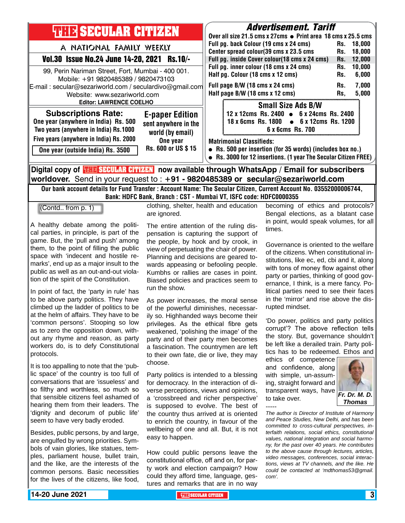| <b>THEF SECULAR CITIZEN</b>                                                                                                                                                                                           |                                                                                                      |                                                                                                                                                                                                     | <i><b>Advertisement. Tariff</b></i><br>Over all size 21.5 cms x 27cms ● Print area 18 cms x 25.5 cms                                                            |                          |                                   |  |
|-----------------------------------------------------------------------------------------------------------------------------------------------------------------------------------------------------------------------|------------------------------------------------------------------------------------------------------|-----------------------------------------------------------------------------------------------------------------------------------------------------------------------------------------------------|-----------------------------------------------------------------------------------------------------------------------------------------------------------------|--------------------------|-----------------------------------|--|
| A NATIONAL FAMILY WEEKLY                                                                                                                                                                                              |                                                                                                      |                                                                                                                                                                                                     | Full pg. back Colour (19 cms x 24 cms)<br>Center spread colour(39 cms x 23.5 cms                                                                                |                          | 18.000<br>18,000                  |  |
| <b>Vol.30 Issue No.24 June 14-20, 2021</b><br><b>Rs.10/-</b>                                                                                                                                                          |                                                                                                      | Full pg. inside Cover colour(18 cms x 24 cms)<br>Full pg. inner colour (18 cms x 24 cms)<br>Half pg. Colour (18 cms x 12 cms)<br>Full page B/W (18 cms x 24 cms)<br>Half page B/W (18 cms x 12 cms) |                                                                                                                                                                 | Rs.<br>Rs.               | 12,000                            |  |
| 99, Perin Nariman Street, Fort, Mumbai - 400 001.<br>Mobile: +91 9820485389 / 9820473103<br>E-mail: secular@sezariworld.com / seculardivo@gmail.com<br>Website: www.sezariworld.com<br><b>Editor: LAWRENCE COELHO</b> |                                                                                                      |                                                                                                                                                                                                     |                                                                                                                                                                 | Rs.<br>Rs.<br>Rs.<br>Rs. | 10,000<br>6,000<br>7,000<br>5,000 |  |
|                                                                                                                                                                                                                       |                                                                                                      |                                                                                                                                                                                                     | <b>Small Size Ads B/W</b>                                                                                                                                       |                          |                                   |  |
| <b>Subscriptions Rate:</b><br>One year (anywhere in India) Rs. 500<br>Two years (anywhere in India) Rs.1000                                                                                                           | <b>E-paper Edition</b><br>sent anywhere in the<br>world (by email)<br>One year<br>Rs. 600 or US \$15 |                                                                                                                                                                                                     | 12 x 12cms Rs. 2400 • 6 x 24cms Rs. 2400<br>18 x 6cms Rs. 1800 • 6 x 12cms Rs. 1200<br>6 x 6cms Rs. 700                                                         |                          |                                   |  |
| Five years (anywhere in India) Rs. 2000                                                                                                                                                                               |                                                                                                      |                                                                                                                                                                                                     | <b>Matrimonial Classifieds:</b><br>• Rs. 500 per insertion (for 35 words) (includes box no.)<br>• Rs. 3000 for 12 insertions. (1 year The Secular Citizen FREE) |                          |                                   |  |
| One year (outside India) Rs. 3500                                                                                                                                                                                     |                                                                                                      |                                                                                                                                                                                                     |                                                                                                                                                                 |                          |                                   |  |
| Digital copy of <mark>THE SECULAR CITIMAN</mark> now available through WhatsApp / Email for subscribers                                                                                                               |                                                                                                      |                                                                                                                                                                                                     |                                                                                                                                                                 |                          |                                   |  |

**worldover.** Send in your request to : **+91 - 9820485389 or secular@sezariworld.com** Our bank account details for Fund Transfer : Account Name: The Secular Citizen, Current Account No. 03552000006744,

Bank: HDFC Bank, Branch : CST - Mumbai VT, ISFC code: HDFC0000355

(Contd.. from p. 1)

A healthy debate among the political parties, in principle, is part of the game. But, the 'pull and push' among them, to the point of filling the public space with 'indecent and hostile remarks', end up as a major insult to the public as well as an out-and-out violation of the spirit of the Constitution.

In point of fact, the 'party in rule' has to be above party politics. They have climbed up the ladder of politics to be at the helm of affairs. They have to be 'common persons'. Stooping so low as to zero the opposition down, without any rhyme and reason, as party workers do, is to defy Constitutional protocols.

It is too appalling to note that the 'public space' of the country is too full of conversations that are 'issueless' and so filthy and worthless, so much so that sensible citizens feel ashamed of hearing them from their leaders. The 'dignity and decorum of public life' seem to have very badly eroded.

Besides, public persons, by and large, are engulfed by wrong priorities. Symbols of vain glories, like statues, temples, parliament house, bullet train, and the like, are the interests of the common persons. Basic necessities for the lives of the citizens, like food, clothing, shelter, health and education are ignored.

The entire attention of the ruling dispensation is capturing the support of the people, by hook and by crook, in view of perpetuating the chair of power. Planning and decisions are geared towards appeasing or befooling people. Kumbhs or rallies are cases in point. Biased policies and practices seem to run the show.

As power increases, the moral sense of the powerful diminishes, necessarily so. Highhanded ways become their privileges. As the ethical fibre gets weakened, 'polishing the image' of the party and of their party men becomes a fascination. The countrymen are left to their own fate, die or live, they may choose.

Party politics is intended to a blessing for democracy. In the interaction of diverse perceptions, views and opinions, a 'crossbreed and richer perspective' is supposed to evolve. The best of the country thus arrived at is oriented to enrich the country, in favour of the wellbeing of one and all. But, it is not easy to happen.

How could public persons leave the constitutional office, off and on, for party work and election campaign? How could they afford time, language, gestures and remarks that are in no way

becoming of ethics and protocols? Bengal elections, as a blatant case in point, would speak volumes, for all times.

Governance is oriented to the welfare of the citizens. When constitutional institutions, like ec, ed, cbi and it, along with tons of money flow against other party or parties, thinking of good governance, I think, is a mere fancy. Political parties need to see their faces in the 'mirror' and rise above the disrupted mindset.

'Do power, politics and party politics corrupt'? The above reflection tells the story. But, governance shouldn't be left like a derailed train. Party politics has to be redeemed. Ethos and

ethics of competence and confidence, along with simple, un-assuming, straight forward and transparent ways, have to take over. -----



*Thomas*

*The author is Director of Institute of Harmony and Peace Studies, New Delhi, and has been committed to cross-cultural perspectives, interfaith relations, social ethics, constitutional values, national integration and social harmony, for the past over 40 years. He contributes to the above cause through lectures, articles, video messages, conferences, social interactions, views at TV channels, and the like. He could be contacted at 'mdthomas53@gmail. com'.*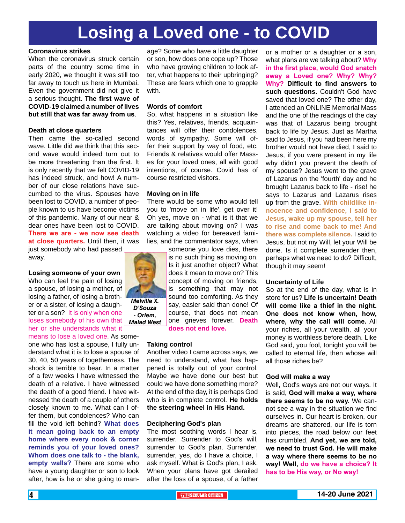## **Losing a Loved one - to COVID**

#### **Coronavirus strikes**

When the coronavirus struck certain parts of the country some time in early 2020, we thought it was still too far away to touch us here in Mumbai. Even the government did not give it a serious thought. **The first wave of COVID-19 claimed a number of lives but still that was far away from us**.

#### **Death at close quarters**

Then came the so-called second wave. Little did we think that this second wave would indeed turn out to be more threatening than the first. It is only recently that we felt COVID-19 has indeed struck, and how! A number of our close relations have succumbed to the virus. Spouses have been lost to COVID, a number of people known to us have become victims of this pandemic. Many of our near & dear ones have been lost to COVID. **There we are - we now see death at close quarters.** Until then, it was just somebody who had passed

away.

#### **Losing someone of your own**

Who can feel the pain of losing a spouse, of losing a mother, of losing a father, of losing a brother or a sister, of losing a daughter or a son? It is only when one loses somebody of his own that her or she understands what it

means to lose a loved one. As someone who has lost a spouse, I fully understand what it is to lose a spouse of 30, 40, 50 years of togetherness. The shock is terrible to bear. In a matter of a few weeks I have witnessed the death of a relative. I have witnessed the death of a good friend. I have witnessed the death of a couple of others closely known to me. What can I offer them, but condolences? Who can fill the void left behind? **What does it mean going back to an empty home where every nook & corner reminds you of your loved ones? Whom does one talk to - the blank, empty walls?** There are some who have a young daughter or son to look after, how is he or she going to manage? Some who have a little daughter or son, how does one cope up? Those who have growing children to look after, what happens to their upbringing? These are fears which one to grapple with.

#### **Words of comfort**

So, what happens in a situation like this? Yes, relatives, friends, acquaintances will offer their condolences, words of sympathy. Some will offer their support by way of food, etc. Friends & relatives would offer Masses for your loved ones, all with good intentions, of course. Covid has of course restricted visitors.

#### **Moving on in life**

There would be some who would tell you to 'move on in life', get over it! Oh yes, move on - what is it that we are talking about moving on? I was watching a video for bereaved families, and the commentator says, when someone you love dies, there



*D'Souza - Orlem, Malad West* is no such thing as moving on. Is it just another object? What does it mean to move on? This concept of moving on friends, is something that may not sound too comforting. As they say, easier said than done! Of course, that does not mean one grieves forever. **Death does not end love.**

#### **Taking control**

Another video I came across says, we need to understand, what has happened is totally out of your control. Maybe we have done our best but could we have done something more? At the end of the day, it is perhaps God who is in complete control. **He holds the steering wheel in His Hand.**

#### **Deciphering God's plan**

The most soothing words I hear is, surrender. Surrender to God's will, surrender to God's plan. Surrender, surrender, yes, do I have a choice, I ask myself. What is God's plan, I ask. When your plans have got derailed after the loss of a spouse, of a father

or a mother or a daughter or a son, what plans are we talking about? **Why in the first place, would God snatch away a Loved one? Why? Why? Why? Difficult to find answers to such questions.** Couldn't God have saved that loved one? The other day, I attended an ONLINE Memorial Mass and the one of the readings of the day was that of Lazarus being brought back to life by Jesus. Just as Martha said to Jesus, if you had been here my brother would not have died, I said to Jesus, if you were present in my life why didn't you prevent the death of my spouse? Jesus went to the grave of Lazarus on the 'fourth' day and he brought Lazarus back to life - rise! he says to Lazarus and Lazarus rises up from the grave. **With childlike innocence and confidence, I said to Jesus, wake up my spouse, tell her to rise and come back to me! And there was complete silence.** I said to Jesus, but not my Will, let your Will be done. Is it complete surrender then, perhaps what we need to do? Difficult, though it may seem!

#### **Uncertainty of Life**

So at the end of the day, what is in store for us? **Life is uncertain! Death will come like a thief in the night. One does not know when, how, where, why the call will come.** All your riches, all your wealth, all your money is worthless before death. Like God said, you fool, tonight you will be called to eternal life, then whose will all those riches be?

#### **God will make a way**

Well, God's ways are not our ways. It is said, **God will make a way, where there seems to be no way.** We cannot see a way in the situation we find ourselves in. Our heart is broken, our dreams are shattered, our life is torn into pieces, the road below our feet has crumbled, **And yet, we are told, we need to trust God. He will make a way where there seems to be no way! Well, do we have a choice? It has to be His way, or No way!**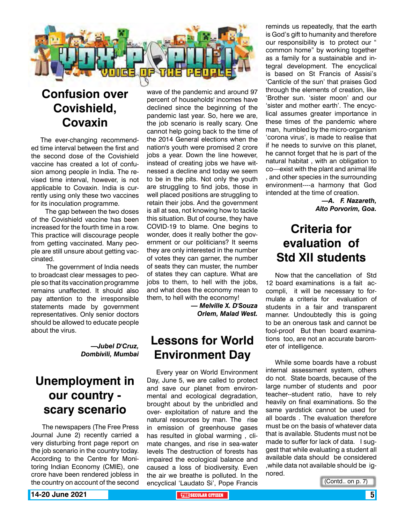

## **Confusion over Covishield, Covaxin**

The ever-changing recommended time interval between the first and the second dose of the Covishield vaccine has created a lot of confusion among people in India. The revised time interval, however, is not applicable to Covaxin. India is currently using only these two vaccines for its inoculation programme.

 The gap between the two doses of the Covishield vaccine has been increased for the fourth time in a row. This practice will discourage people from getting vaccinated. Many people are still unsure about getting vaccinated.

 The government of India needs to broadcast clear messages to people so that its vaccination programme remains unaffected. It should also pay attention to the irresponsible statements made by government representatives. Only senior doctors should be allowed to educate people about the virus.

> *—Jubel D'Cruz, Dombivili, Mumbai*

## **Unemployment in our country scary scenario**

 The newspapers (The Free Press Journal June 2) recently carried a very disturbing front page report on the job scenario in the country today. According to the Centre for Monitoring Indian Economy (CMIE), one crore have been rendered jobless in the country on account of the second

wave of the pandemic and around 97 percent of households' incomes have declined since the beginning of the pandemic last year. So, here we are, the job scenario is really scary. One cannot help going back to the time of the 2014 General elections when the nation's youth were promised 2 crore jobs a year. Down the line however, instead of creating jobs we have witnessed a decline and today we seem to be in the pits. Not only the youth are struggling to find jobs, those in well placed positions are struggling to retain their jobs. And the government is all at sea, not knowing how to tackle this situation. But of course, they have COVID-19 to blame. One begins to wonder, does it really bother the government or our politicians? It seems they are only interested in the number of votes they can garner, the number of seats they can muster, the number of states they can capture. What are jobs to them, to hell with the jobs, and what does the economy mean to them, to hell with the economy!

*— Melville X. D'Souza Orlem, Malad West.* 

## **Lessons for World Environment Day**

Every year on World Environment Day, June 5, we are called to protect and save our planet from environmental and ecological degradation, brought about by the unbridled and over- exploitation of nature and the natural resources by man. The rise in emission of greenhouse gases has resulted in global warming , climate changes, and rise in sea-water levels The destruction of forests has impaired the ecological balance and caused a loss of biodiversity. Even the air we breathe is polluted. In the encyclical 'Laudato Si', Pope Francis

reminds us repeatedly, that the earth is God's gift to humanity and therefore our responsibility is to protect our " common home" by working together as a family for a sustainable and integral development. The encyclical is based on St Francis of Assisi's 'Canticle of the sun' that praises God through the elements of creation, like 'Brother sun. 'sister moon' and our 'sister and mother earth'. The encyclical assumes greater importance in these times of the pandemic where man, humbled by the micro-organism 'corona virus', is made to realise that if he needs to survive on this planet, he cannot forget that he is part of the natural habitat , with an obligation to co—exist with the plant and animal life , and other species in the surrounding environment----a harmony that God intended at the time of creation.

> *—A. F. Nazareth, Alto Porvorim, Goa.*

## **Criteria for evaluation of Std XII students**

Now that the cancellation of Std 12 board examinations is a fait accompli, it will be necessary to formulate a criteria for evaluation of students in a fair and transparent manner. Undoubtedly this is going to be an onerous task and cannot be fool-proof But then board examinations too, are not an accurate barometer of intelligence.

While some boards have a robust internal assessment system, others do not. State boards, because of the large number of students and poor teacher--student ratio, have to rely heavily on final examinations. So the same yardstick cannot be used for all boards . The evaluation therefore must be on the basis of whatever data that is available. Students must not be made to suffer for lack of data. I suggest that while evaluating a student all available data should be considered ,while data not available should be ignored.

(Contd.. on p. 7)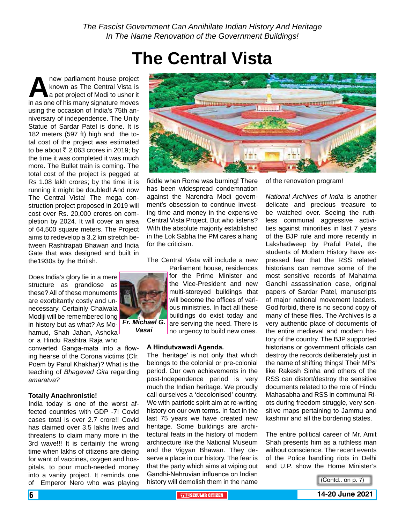## **The Central Vista**

**A** new parliament house project<br> **A** known as The Central Vista is<br>
in as one of his many signature moves known as The Central Vista is a pet project of Modi to usher it in as one of his many signature moves using the occasion of India's 75th anniversary of independence. The Unity Statue of Sardar Patel is done. It is 182 meters (597 ft) high and the total cost of the project was estimated to be about  $\overline{\xi}$  2,063 crores in 2019; by the time it was completed it was much more. The Bullet train is coming. The total cost of the project is pegged at Rs 1.08 lakh crores; by the time it is running it might be doubled! And now The Central Vista! The mega construction project proposed in 2019 will cost over Rs. 20,000 crores on completion by 2024. It will cover an area of 64,500 square meters. The Project aims to redevelop a 3.2 km stretch between Rashtrapati Bhawan and India Gate that was designed and built in the1930s by the British.

Does India's glory lie in a mere structure as grandiose as these? All of these monuments are exorbitantly costly and unnecessary. Certainly Chaiwala Modiji will be remembered long in history but as what? As Mohamud, Shah Jahan, Ashoka or a Hindu Rashtra Raja who *Fr. Michael G.* 

converted Ganga-mata into a flowing hearse of the Corona victims (Cfr. Poem by Parul Khakhar)? What is the teaching of *Bhagavad Gita* regarding *amaratva?*

#### **Totally Anachronistic!**

India today is one of the worst affected countries with GDP -7! Covid cases total is over 2.7 crore!! Covid has claimed over 3.5 lakhs lives and threatens to claim many more in the 3rd wave!!! It is certainly the wrong time when lakhs of citizens are dieing for want of vaccines, oxygen and hospitals, to pour much-needed money into a vanity project. It reminds one of Emperor Nero who was playing



fiddle when Rome was burning! There has been widespread condemnation against the Narendra Modi government's obsession to continue investing time and money in the expensive Central Vista Project. But who listens? With the absolute majority established in the Lok Sabha the PM cares a hang for the criticism.

The Central Vista will include a new

Parliament house, residences for the Prime Minister and the Vice-President and new multi-storeyed buildings that will become the offices of various ministries. In fact all these buildings do exist today and are serving the need. There is

no urgency to build new ones. *Vasai*

#### **A Hindutvawadi Agenda.**

The 'heritage' is not only that which belongs to the colonial or pre-colonial period. Our own achievements in the post-Independence period is very much the Indian heritage. We proudly call ourselves a 'decolonised' country. We with patriotic spirit aim at re-writing history on our own terms. In fact in the last 75 years we have created new heritage. Some buildings are architectural feats in the history of modern architecture like the National Museum and the Vigyan Bhawan. They deserve a place in our history. The fear is that the party which aims at wiping out Gandhi-Nehruvian influence on Indian history will demolish them in the name

of the renovation program!

*National Archives of India* is another delicate and precious treasure to be watched over. Seeing the ruthless communal aggressive activities against minorities in last 7 years of the BJP rule and more recently in Lakshadweep by Praful Patel, the students of Modern History have expressed fear that the RSS related historians can remove some of the most sensitive records of Mahatma Gandhi assassination case, original papers of Sardar Patel, manuscripts of major national movement leaders. God forbid, there is no second copy of many of these files. The Archives is a very authentic place of documents of the entire medieval and modern history of the country. The BJP supported historians or government officials can destroy the records deliberately just in the name of shifting things! Their MPs' like Rakesh Sinha and others of the RSS can distort/destroy the sensitive documents related to the role of Hindu Mahasabha and RSS in communal Riots during freedom struggle, very sensitive maps pertaining to Jammu and kashmir and all the bordering states.

The entire political career of Mr. Amit Shah presents him as a ruthless man without conscience. The recent events of the Police handling riots in Delhi and U.P. show the Home Minister's

(Contd.. on p. 7)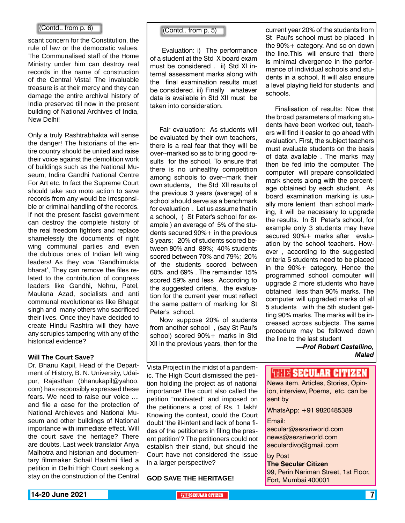#### $\begin{bmatrix}$  (Contd.. from p. 6)  $\end{bmatrix}$   $\begin{bmatrix}$  (Contd.. from p. 5)

scant concern for the Constitution, the rule of law or the democratic values. The Communalised staff of the Home Ministry under him can destroy real records in the name of construction of the Central Vista! The invaluable treasure is at their mercy and they can damage the entire archival history of India preserved till now in the present building of National Archives of India, New Delhi!

Only a truly Rashtrabhakta will sense the danger! The historians of the entire country should be united and raise their voice against the demolition work of buildings such as the National Museum, Indira Gandhi National Centre For Art etc. In fact the Supreme Court should take suo moto action to save records from any would be irresponsible or criminal handling of the records. If not the present fascist government can destroy the complete history of the real freedom fighters and replace shamelessly the documents of right wing communal parties and even the dubious ones of Indian left wing leaders! As they vow 'Gandhimukta bharat', They can remove the files related to the contribution of congress leaders like Gandhi, Nehru, Patel, Maulana Azad, socialists and anti communal revolutionaries like Bhagat singh and many others who sacrificed their lives. Once they have decided to create Hindu Rashtra will they have any scruples tampering with any of the historical evidence?

#### **Will The Court Save?**

Dr. Bhanu Kapil, Head of the Department of History, B. N. University, Udaipur, Rajasthan (bhanukapil@yahoo. com) has responsibly expressed these fears. We need to raise our voice .... and file a case for the protection of National Archieves and National Museum and other buildings of National importance with immediate effect. Will the court save the heritage? There are doubts. Last week translator Anya Malhotra and historian and documentary filmmaker Sohail Hashmi filed a petition in Delhi High Court seeking a stay on the construction of the Central

 Evaluation: i) The performance of a student at the Std X board exam must be considered . ii) Std XI internal assessment marks along with the final examination results must be considered. iii) Finally whatever data is available in Std XII must be taken into consideration.

Fair evaluation: As students will be evaluated by their own teachers, there is a real fear that they will be over--marked so as to bring good results for the school. To ensure that there is no unhealthy competition among schools to over--mark their own students, the Std XII results of the previous 3 years (average) of a school should serve as a benchmark for evaluation . Let us assume that in a school, ( St Peter's school for example ) an average of 5% of the students secured 90%+ in the previous 3 years; 20% of students scored between 80% and 89%; 40% students scored between 70% and 79%; 20% of the students scored between 60% and 69% . The remainder 15% scored 59% and less According to the suggested criteria, the evaluation for the current year must reflect the same pattern of marking for St Peter's school.

Now suppose 20% of students from another school , (say St Paul's school) scored 90%+ marks in Std XII in the previous years, then for the

current year 20% of the students from St Paul's school must be placed in the 90%+ category. And so on down the line.This will ensure that there is minimal divergence in the performance of individual schools and students in a school. It will also ensure a level playing field for students and schools.

Finalisation of results: Now that the broad parameters of marking students have been worked out, teachers will find it easier to go ahead with evaluation. First, the subject teachers must evaluate students on the basis of data available . The marks may then be fed into the computer. The computer will prepare consolidated mark sheets along with the percentage obtained by each student. As board examination marking is usually more lenient than school marking, it will be necessary to upgrade the results. In St Peter's school, for example only 3 students may have secured 90%+ marks after evaluation by the school teachers. However , according to the suggested criteria 5 students need to be placed in the 90%+ category. Hence the programmed school computer will upgrade 2 more students who have obtained less than 90% marks. The computer will upgraded marks of all 5 students with the 5th student getting 90% marks. The marks will be increased across subjects. The same procedure may be followed down the line to the last student

> *—Prof Robert Castellino, Malad*

Vista Project in the midst of a pandemic. The High Court dismissed the petition holding the project as of national importance! The court also called the petition "motivated" and imposed on the petitioners a cost of Rs. 1 lakh! Knowing the context, could the Court doubt 'the ill-intent and lack of bona fides of the petitioners in filing the present petition'? The petitioners could not establish their stand, but should the Court have not considered the issue in a larger perspective?

**GOD SAVE THE HERITAGE!**

**THIR SECULAR CITIZEN** 

News item, Articles, Stories, Opinion, interview, Poems, etc. can be sent by

WhatsApp: +91 9820485389

Email:

secular@sezariworld.com news@sezariworld.com seculardivo@gmail.com

by Post

**The Secular Citizen** 99, Perin Nariman Street, 1st Floor, Fort, Mumbai 400001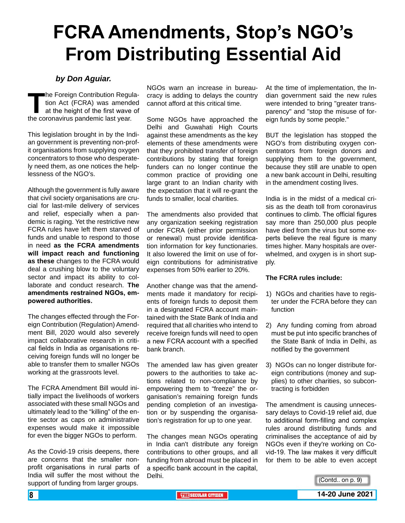# **FCRA Amendments, Stop's NGO's From Distributing Essential Aid**

#### *by Don Aguiar.*

**The Foreign Contribution Regulation Act (FCRA) was amended at the height of the first wave of the coronavirus pandemic last year.** tion Act (FCRA) was amended at the height of the first wave of the coronavirus pandemic last year.

This legislation brought in by the Indian government is preventing non-profit organisations from supplying oxygen concentrators to those who desperately need them, as one notices the helplessness of the NGO's.

Although the government is fully aware that civil society organisations are crucial for last-mile delivery of services and relief, especially when a pandemic is raging. Yet the restrictive new FCRA rules have left them starved of funds and unable to respond to those in need **as the FCRA amendments will impact reach and functioning as these** changes to the FCRA would deal a crushing blow to the voluntary sector and impact its ability to collaborate and conduct research. **The amendments restrained NGOs, empowered authorities.**

The changes effected through the Foreign Contribution (Regulation) Amendment Bill, 2020 would also severely impact collaborative research in critical fields in India as organisations receiving foreign funds will no longer be able to transfer them to smaller NGOs working at the grassroots level.

The FCRA Amendment Bill would initially impact the livelihoods of workers associated with these small NGOs and ultimately lead to the "killing" of the entire sector as caps on administrative expenses would make it impossible for even the bigger NGOs to perform.

As the Covid-19 crisis deepens, there are concerns that the smaller nonprofit organisations in rural parts of India will suffer the most without the support of funding from larger groups.

NGOs warn an increase in bureaucracy is adding to delays the country cannot afford at this critical time.

Some NGOs have approached the Delhi and Guwahati High Courts against these amendments as the key elements of these amendments were that they prohibited transfer of foreign contributions by stating that foreign funders can no longer continue the common practice of providing one large grant to an Indian charity with the expectation that it will re-grant the funds to smaller, local charities.

The amendments also provided that any organization seeking registration under FCRA (either prior permission or renewal) must provide identification information for key functionaries. It also lowered the limit on use of foreign contributions for administrative expenses from 50% earlier to 20%.

Another change was that the amendments made it mandatory for recipients of foreign funds to deposit them in a designated FCRA account maintained with the State Bank of India and required that all charities who intend to receive foreign funds will need to open a new FCRA account with a specified bank branch.

The amended law has given greater powers to the authorities to take actions related to non-compliance by empowering them to "freeze" the organisation's remaining foreign funds pending completion of an investigation or by suspending the organisation's registration for up to one year.

The changes mean NGOs operating in India can't distribute any foreign contributions to other groups, and all funding from abroad must be placed in a specific bank account in the capital, Delhi.

At the time of implementation, the Indian government said the new rules were intended to bring "greater transparency" and "stop the misuse of foreign funds by some people."

BUT the legislation has stopped the NGO's from distributing oxygen concentrators from foreign donors and supplying them to the government, because they still are unable to open a new bank account in Delhi, resulting in the amendment costing lives.

India is in the midst of a medical crisis as the death toll from coronavirus continues to climb. The official figures say more than 250,000 plus people have died from the virus but some experts believe the real figure is many times higher. Many hospitals are overwhelmed, and oxygen is in short supply.

#### **The FCRA rules include:**

- 1) NGOs and charities have to register under the FCRA before they can function
- 2) Any funding coming from abroad must be put into specific branches of the State Bank of India in Delhi, as notified by the government
- 3) NGOs can no longer distribute foreign contributions (money and supplies) to other charities, so subcontracting is forbidden

The amendment is causing unnecessary delays to Covid-19 relief aid, due to additional form-filling and complex rules around distributing funds and criminalises the acceptance of aid by NGOs even if they're working on Covid-19. The law makes it very difficult for them to be able to even accept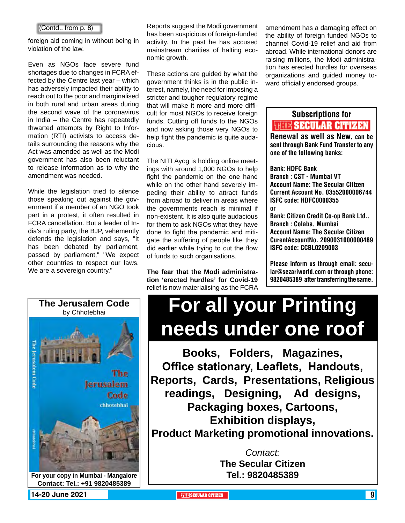foreign aid coming in without being in violation of the law.

Even as NGOs face severe fund shortages due to changes in FCRA effected by the Centre last year – which has adversely impacted their ability to reach out to the poor and marginalised in both rural and urban areas during the second wave of the coronavirus in India – the Centre has repeatedly thwarted attempts by Right to Information (RTI) activists to access details surrounding the reasons why the Act was amended as well as the Modi government has also been reluctant to release information as to why the amendment was needed.

While the legislation tried to silence those speaking out against the government if a member of an NGO took part in a protest, it often resulted in FCRA cancellation. But a leader of India's ruling party, the BJP, vehemently defends the legislation and says, "It has been debated by parliament, passed by parliament," "We expect other countries to respect our laws. We are a sovereign country."



Reports suggest the Modi government has been suspicious of foreign-funded activity. In the past he has accused mainstream charities of halting economic growth. (Contd.. from  $p. 8$ ) Reports suggest the Modi government amendment has a damaging effect on

> These actions are guided by what the government thinks is in the public interest, namely, the need for imposing a stricter and tougher regulatory regime that will make it more and more difficult for most NGOs to receive foreign funds. Cutting off funds to the NGOs and now asking those very NGOs to help fight the pandemic is quite audacious.

> The NITI Ayog is holding online meetings with around 1,000 NGOs to help fight the pandemic on the one hand while on the other hand severely impeding their ability to attract funds from abroad to deliver in areas where the governments reach is minimal if non-existent. It is also quite audacious for them to ask NGOs what they have done to fight the pandemic and mitigate the suffering of people like they did earlier while trying to cut the flow of funds to such organisations.

> **The fear that the Modi administration 'erected hurdles' for Covid-19** relief is now materialising as the FCRA

the ability of foreign funded NGOs to channel Covid-19 relief and aid from abroad. While international donors are raising millions, the Modi administration has erected hurdles for overseas organizations and guided money toward officially endorsed groups.

## Subscriptions for **RENEW SECULAR CITIZEN**<br>Renewal as well as New, can be

sent through Bank Fund Transfer to any one of the following banks:

Bank: HDFC Bank Branch : CST - Mumbai VT

Account Name: The Secular Citizen Current Account No. 03552000006744 ISFC code: HDFC0000355 or

Bank: Citizen Credit Co-op Bank Ltd., Branch : Colaba, Mumbai Account Name: The Secular Citizen CurentAccountNo. 2090031000000489 ISFC code: CCBL0209003

Please inform us through email: secular@sezariworld.com or through phone: 9820485389 after transferring the same.

# **For all your Printing needs under one roof**

**Books, Folders, Magazines, Office stationary, Leaflets, Handouts, Reports, Cards, Presentations, Religious readings, Designing, Ad designs, Packaging boxes, Cartoons, Exhibition displays, Product Marketing promotional innovations.**

> *Contact:* **The Secular Citizen Tel.: 9820485389**

**14-20 June 2021 THE THE THE THE SECULAR CITIZEN 14-20 JUNE 2021 9**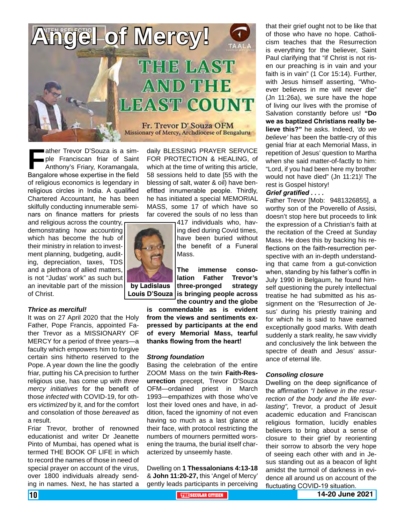

**Father Trevor D'Souza is a sim-<br>ple Franciscan friar of Saint<br>Anthony's Friary, Koramangala,<br>Bangalore whose expertise in the field** ple Franciscan friar of Saint Anthony's Friary, Koramangala, Bangalore whose expertise in the field of religious economics is legendary in religious circles in India. A qualified Chartered Accountant, he has been skilfully conducting innumerable seminars on finance matters for priests

and religious across the country, demonstrating how accounting which has become the hub of their ministry in relation to investment planning, budgeting, auditing, depreciation, taxes, TDS and a plethora of allied matters, is not "Judas' work" as such but an inevitable part of the mission of Christ.

#### *Thrice as merciful!*

It was on 27 April 2020 that the Holy Father, Pope Francis, appointed Father Trevor as a MISSIONARY OF MERCY for a period of three years—a faculty which empowers him to forgive certain sins hitherto reserved to the Pope. A year down the line the goodly friar, putting his CA precision to further religious use, has come up with *three mercy initiatives* for the benefit of those *infected* with COVID-19, for others *victimized* by it, and for the comfort and consolation of those *bereaved* as a result.

Friar Trevor, brother of renowned educationist and writer Dr Jeanette Pinto of Mumbai, has opened what is termed THE BOOK OF LIFE in which to record the names of those in need of special prayer on account of the virus, over 1800 individuals already sending in names. Next, he has started a

daily BLESSING PRAYER SERVICE FOR PROTECTION & HEALING, of which at the time of writing this article, 58 sessions held to date [55 with the blessing of salt, water & oil) have benefitted innumerable people. Thirdly, he has initiated a special MEMORIAL MASS, some 17 of which have so far covered the souls of no less than

417 individuals who, having died during Covid times, have been buried without the benefit of a Funeral Mass.

**The immense consolation Father Trevor's three-pronged strategy is bringing people across Louis D'Souza the country and the globe** 

**is commendable as is evident from the views and sentiments expressed by participants at the end of every Memorial Mass, tearful thanks flowing from the heart!**

#### *Strong foundation*

Basing the celebration of the entire ZOOM Mass on the twin **Faith-Resurrection** precept, Trevor D'Souza OFM—ordained priest in March 1993—empathizes with those who've lost their loved ones and have, in addition, faced the ignominy of not even having so much as a last glance at their face, with protocol restricting the numbers of mourners permitted worsening the trauma, the burial itself characterized by unseemly haste.

Dwelling on **1 Thessalonians 4:13-18**  & **John 11:20-27,** this 'Angel of Mercy' gently leads participants in perceiving

that their grief ought not to be like that of those who have no hope. Catholicism teaches that the Resurrection is everything for the believer, Saint Paul clarifying that "if Christ is not risen our preaching is in vain and your faith is in vain" (1 Cor 15:14). Further, with Jesus himself asserting, "Whoever believes in me will never die" (Jn 11:26a), we sure have the hope of living our lives with the promise of Salvation constantly before us! **"Do we as baptized Christians really believe this?"** he asks. Indeed, *'do we believe'* has been the battle-cry of this genial friar at each Memorial Mass, in repetition of Jesus' question to Martha when she said matter-of-factly to him: "Lord, if you had been here my brother would not have died" (Jn 11:21)! The rest is Gospel history!

#### *Grief gratified . . . .*

Father Trevor [Mob: 9481326855], a worthy son of the Poverello of Assisi, doesn't stop here but proceeds to link the expression of a Christian's faith at the recitation of the Creed at Sunday Mass. He does this by backing his reflections on the faith-resurrection perspective with an in-depth understanding that came from a gut-conviction when, standing by his father's coffin in July 1990 in Belgaum, he found himself questioning the purely intellectual treatise he had submitted as his assignment on the 'Resurrection of Jesus' during his priestly training and for which he is said to have earned exceptionally good marks. With death suddenly a stark reality, he saw vividly and conclusively the link between the spectre of death and Jesus' assurance of eternal life.

#### *Consoling closure*

Dwelling on the deep significance of the affirmation *"I believe in the resurrection of the body and the life everlasting",* Trevor, a product of Jesuit academic education and Franciscan religious formation, lucidly enables believers to bring about a sense of closure to their grief by reorienting their sorrow to absorb the very hope of seeing each other with and in Jesus standing out as a beacon of light amidst the turmoil of darkness in evidence all around us on account of the fluctuating COVID-19 situation.



**by Ladislaus** 

#### 10 **THE SECULAR CITIZEN 14-20 June 2021**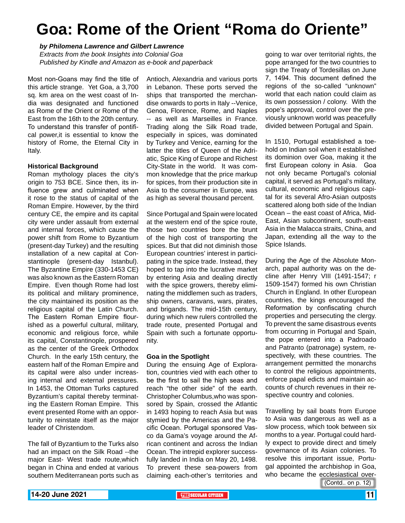## **Goa: Rome of the Orient "Roma do Oriente"**

#### *by Philomena Lawrence and Gilbert Lawrence*

*Extracts from the book Insights into Colonial Goa Published by Kindle and Amazon as e-book and paperback*

Most non-Goans may find the title of this article strange. Yet Goa, a 3,700 sq. km area on the west coast of India was designated and functioned as Rome of the Orient or Rome of the East from the 16th to the 20th century. To understand this transfer of pontifical power,it is essential to know the history of Rome, the Eternal City in Italy.

#### **Historical Background**

Roman mythology places the city's origin to 753 BCE. Since then, its influence grew and culminated when it rose to the status of capital of the Roman Empire. However, by the third century CE, the empire and its capital city were under assault from external and internal forces, which cause the power shift from Rome to Byzantium (present-day Turkey) and the resulting installation of a new capital at Constantinople (present-day Istanbul). The Byzantine Empire (330-1453 CE) was also known as the Eastern Roman Empire. Even though Rome had lost its political and military prominence, the city maintained its position as the religious capital of the Latin Church. The Eastern Roman Empire flourished as a powerful cultural, military, economic and religious force, while its capital, Constantinople, prospered as the center of the Greek Orthodox Church. In the early 15th century, the eastern half of the Roman Empire and its capital were also under increasing internal and external pressures. In 1453, the Ottoman Turks captured Byzantium's capital thereby terminating the Eastern Roman Empire. This event presented Rome with an opportunity to reinstate itself as the major leader of Christendom.

The fall of Byzantium to the Turks also had an impact on the Silk Road --the major East- West trade route,which began in China and ended at various southern Mediterranean ports such as

Antioch, Alexandria and various ports in Lebanon. These ports served the ships that transported the merchandise onwards to ports in Italy --Venice, Genoa, Florence, Rome, and Naples -- as well as Marseilles in France. Trading along the Silk Road trade, especially in spices, was dominated by Turkey and Venice, earning for the latter the titles of Queen of the Adriatic, Spice King of Europe and Richest City-State in the world. It was common knowledge that the price markup for spices, from their production site in Asia to the consumer in Europe, was as high as several thousand percent.

Since Portugal and Spain were located at the western end of the spice route, those two countries bore the brunt of the high cost of transporting the spices. But that did not diminish those European countries' interest in participating in the spice trade. Instead, they hoped to tap into the lucrative market by entering Asia and dealing directly with the spice growers, thereby eliminating the middlemen such as traders, ship owners, caravans, wars, pirates, and brigands. The mid-15th century, during which new rulers controlled the trade route, presented Portugal and Spain with such a fortunate opportunity.

#### **Goa in the Spotlight**

During the ensuing Age of Exploration, countries vied with each other to be the first to sail the high seas and reach "the other side" of the earth. Christopher Columbus,who was sponsored by Spain, crossed the Atlantic in 1493 hoping to reach Asia but was stymied by the Americas and the Pacific Ocean. Portugal sponsored Vasco da Gama's voyage around the African continent and across the Indian Ocean. The intrepid explorer successfully landed in India on May 20, 1498. To prevent these sea-powers from claiming each-other's territories and

going to war over territorial rights, the pope arranged for the two countries to sign the Treaty of Tordesillas on June 7, 1494. This document defined the regions of the so-called "unknown" world that each nation could claim as its own possession / colony. With the pope's approval, control over the previously unknown world was peacefully divided between Portugal and Spain.

In 1510, Portugal established a toehold on Indian soil when it established its dominion over Goa, making it the first European colony in Asia. Goa not only became Portugal's colonial capital, it served as Portugal's military, cultural, economic and religious capital for its several Afro-Asian outposts scattered along both side of the Indian Ocean – the east coast of Africa, Mid-East, Asian subcontinent, south-east Asia in the Malacca straits, China, and Japan, extending all the way to the Spice Islands.

During the Age of the Absolute Monarch, papal authority was on the decline after Henry VIII (1491-1547; r 1509-1547) formed his own Christian Church in England. In other European countries, the kings encouraged the Reformation by confiscating church properties and persecuting the clergy. To prevent the same disastrous events from occurring in Portugal and Spain, the pope entered into a Padroado and Patranto (patronage) system, respectively, with these countries. The arrangement permitted the monarchs to control the religious appointments, enforce papal edicts and maintain accounts of church revenues in their respective country and colonies.

Travelling by sail boats from Europe to Asia was dangerous as well as a slow process, which took between six months to a year. Portugal could hardly expect to provide direct and timely governance of its Asian colonies. To resolve this important issue, Portugal appointed the archbishop in Goa, who became the ecclesiastical over-

(Contd.. on p. 12)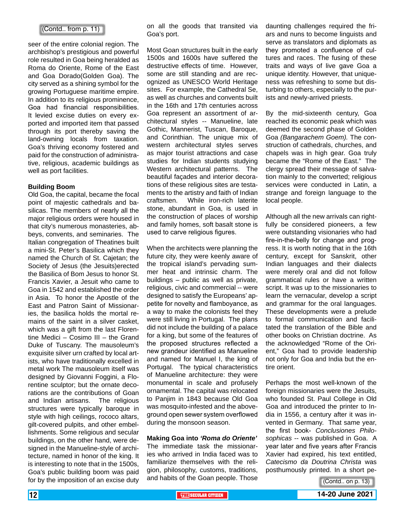#### (Contd.. from p. 11)

seer of the entire colonial region. The archbishop's prestigious and powerful role resulted in Goa being heralded as Roma do Oriente, Rome of the East and Goa Dorado(Golden Goa). The city served as a shining symbol for the growing Portuguese maritime empire. In addition to its religious prominence, Goa had financial responsibilities. It levied excise duties on every exported and imported item that passed through its port thereby saving the land-owning locals from taxation. Goa's thriving economy fostered and paid for the construction of administrative, religious, academic buildings as well as port facilities.

#### **Building Boom**

Old Goa, the capital, became the focal point of majestic cathedrals and basilicas. The members of nearly all the major religious orders were housed in that city's numerous monasteries, abbeys, convents, and seminaries. The Italian congregation of Theatines built a mini-St. Peter's Basilica which they named the Church of St. Cajetan; the Society of Jesus (the Jesuits)erected the Basilica of Bom Jesus to honor St. Francis Xavier, a Jesuit who came to Goa in 1542 and established the order in Asia. To honor the Apostle of the East and Patron Saint of Missionaries, the basilica holds the mortal remains of the saint in a silver casket, which was a gift from the last Florentine Medici – Cosimo III – the Grand Duke of Tuscany. The mausoleum's exquisite silver urn crafted by local artists, who have traditionally excelled in metal work The mausoleum itself was designed by Giovanni Foggini, a Florentine sculptor; but the ornate decorations are the contributions of Goan and Indian artisans. The religious structures were typically baroque in style with high ceilings, rococo altars, gilt-covered pulpits, and other embellishments. Some religious and secular buildings, on the other hand, were designed in the Manueline-style of architecture, named in honor of the king. It is interesting to note that in the 1500s, Goa's public building boom was paid for by the imposition of an excise duty

on all the goods that transited via Goa's port.

Most Goan structures built in the early 1500s and 1600s have suffered the destructive effects of time. However, some are still standing and are recognized as UNESCO World Heritage sites. For example, the Cathedral Se, as well as churches and convents built in the 16th and 17th centuries across Goa represent an assortment of architectural styles -- Manueline, late Gothic, Mannerist, Tuscan, Baroque, and Corinthian. The unique mix of western architectural styles serves as major tourist attractions and case studies for Indian students studying Western architectural patterns. The beautiful façades and interior decorations of these religious sites are testaments to the artistry and faith of Indian craftsmen. While iron-rich laterite stone, abundant in Goa, is used in the construction of places of worship and family homes, soft basalt stone is used to carve religious figures.

When the architects were planning the future city, they were keenly aware of the tropical island's pervading summer heat and intrinsic charm. The buildings – public as well as private, religious, civic and commercial -- were designed to satisfy the Europeans' appetite for novelty and flamboyance, as a way to make the colonists feel they were still living in Portugal. The plans did not include the building of a palace for a king, but some of the features of the proposed structures reflected a new grandeur identified as Manueline and named for Manuel I, the king of Portugal. The typical characteristics of Manueline architecture: they were monumental in scale and profusely ornamental. The capital was relocated to Panjim in 1843 because Old Goa was mosquito-infested and the aboveground open sewer system overflowed during the monsoon season.

**Making Goa into** *'Roma do Oriente'* The immediate task the missionaries who arrived in India faced was to familiarize themselves with the religion, philosophy, customs, traditions, and habits of the Goan people. Those daunting challenges required the friars and nuns to become linguists and serve as translators and diplomats as they promoted a confluence of cultures and races. The fusing of these traits and ways of live gave Goa a unique identity. However, that uniqueness was refreshing to some but disturbing to others, especially to the purists and newly-arrived priests.

By the mid-sixteenth century, Goa reached its economic peak which was deemed the second phase of Golden Goa *(Bangarachem Goem).* The construction of cathedrals, churches, and chapels was in high gear. Goa truly became the "Rome of the East." The clergy spread their message of salvation mainly to the converted; religious services were conducted in Latin, a strange and foreign language to the local people.

Although all the new arrivals can rightfully be considered pioneers, a few were outstanding visionaries who had fire-in-the-belly for change and progress. It is worth noting that in the 16th century, except for Sanskrit, other Indian languages and their dialects were merely oral and did not follow grammatical rules or have a written script. It was up to the missionaries to learn the vernacular, develop a script and grammar for the oral languages. These developments were a prelude to formal communication and facilitated the translation of the Bible and other books on Christian doctrine. As the acknowledged "Rome of the Orient," Goa had to provide leadership not only for Goa and India but the entire orient.

Perhaps the most well-known of the foreign missionaries were the Jesuits, who founded St. Paul College in Old Goa and introduced the printer to India in 1556, a century after it was invented in Germany. That same year, the first book- *Conclusiones Philosophicas* -- was published in Goa. A year later and five years after Francis Xavier had expired, his text entitled, *Catecismo da Doutrina Christa* was posthumously printed. In a short pe-

(Contd.. on p. 13)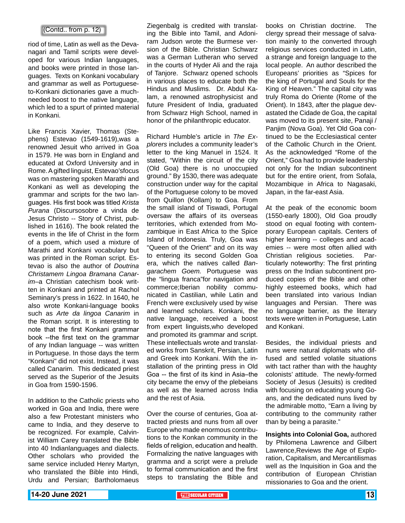#### (Contd.. from p. 12)

riod of time, Latin as well as the Devanagari and Tamil scripts were developed for various Indian languages, and books were printed in those languages. Texts on Konkani vocabulary and grammar as well as Portugueseto-Konkani dictionaries gave a muchneeded boost to the native language, which led to a spurt of printed material in Konkani.

Like Francis Xavier, Thomas (Stephens) Estevao (1549-1619),was a renowned Jesuit who arrived in Goa in 1579. He was born in England and educated at Oxford University and in Rome. A gifted linguist, Estevao'sfocus was on mastering spoken Marathi and Konkani as well as developing the grammar and scripts for the two languages. His first book was titled *Krista Purana* (Discursosobre a vinda de Jesus Christo -- Story of Christ, published in 1616). The book related the events in the life of Christ in the form of a poem, which used a mixture of Marathi and Konkani vocabulary but was printed in the Roman script. Estevao is also the author of *Doutrina Christamem Lingoa Bramana Canarim*–a Christian catechism book written in Konkani and printed at Rachol Seminary's press in 1622. In 1640, he also wrote Konkani-language books such as *Arte da lingoa Canarim* in the Roman script. It is interesting to note that the first Konkani grammar book --the first text on the grammar of any Indian language -- was written in Portuguese. In those days the term "Konkani'' did not exist. Instead, it was called Canarim. This dedicated priest served as the Superior of the Jesuits in Goa from 1590-1596.

In addition to the Catholic priests who worked in Goa and India, there were also a few Protestant ministers who came to India, and they deserve to be recognized. For example, Calvinist William Carey translated the Bible into 40 Indianlanguages and dialects. Other scholars who provided the same service included Henry Martyn, who translated the Bible into Hindi, Urdu and Persian; Bartholomaeus Ziegenbalg is credited with translating the Bible into Tamil, and Adoniram Judson wrote the Burmese version of the Bible. Christian Schwarz was a German Lutheran who served in the courts of Hyder Ali and the raja of Tanjore. Schwarz opened schools in various places to educate both the Hindus and Muslims. Dr. Abdul Kalam, a renowned astrophysicist and future President of India, graduated from Schwarz High School, named in honor of the philanthropic educator.

Richard Humble's article in *The Explorers* includes a community leader's letter to the king Manuel in 1524. It stated, "Within the circuit of the city (Old Goa) there is no unoccupied ground." By 1530, there was adequate construction under way for the capital of the Portuguese colony to be moved from Quillon (Kollam) to Goa. From the small island of Tiswadi, Portugal oversaw the affairs of its overseas territories, which extended from Mozambique in East Africa to the Spice Island of Indonesia. Truly, Goa was "Queen of the Orient'' and on its way to entering its second Golden Goa era, which the natives called *Bangarachem Goem.* Portuguese was the "lingua franca"for navigation and commerce;Iberian nobility communicated in Castilian, while Latin and French were exclusively used by wise and learned scholars. Konkani, the native language, received a boost from expert linguists,who developed and promoted its grammar and script. These intellectuals wrote and translated works from Sanskrit, Persian, Latin and Greek into Konkani. With the installation of the printing press in Old Goa -- the first of its kind in Asia–the city became the envy of the plebeians as well as the learned across India and the rest of Asia.

Over the course of centuries, Goa attracted priests and nuns from all over Europe who made enormous contributions to the Konkan community in the fields of religion, education and health. Formalizing the native languages with gramma and a script were a prelude to formal communication and the first steps to translating the Bible and books on Christian doctrine. The clergy spread their message of salvation mainly to the converted through religious services conducted in Latin, a strange and foreign language to the local people. An author described the Europeans' priorities as "Spices for the king of Portugal and Souls for the King of Heaven." The capital city was truly Roma do Oriente (Rome of the Orient). In 1843, after the plague devastated the Cidade de Goa, the capital was moved to its present site, Panaji / Panjim (Nova Goa). Yet Old Goa continued to be the Ecclesiastical center of the Catholic Church in the Orient. As the acknowledged "Rome of the Orient," Goa had to provide leadership not only for the Indian subcontinent but for the entire orient, from Sofala, Mozambique in Africa to Nagasaki, Japan, in the far-east Asia.

At the peak of the economic boom (1550-early 1800), Old Goa proudly stood on equal footing with contemporary European capitals. Centers of higher learning -- colleges and academies -- were most often allied with Christian religious societies. Particularly noteworthy: The first printing press on the Indian subcontinent produced copies of the Bible and other highly esteemed books, which had been translated into various Indian languages and Persian. There was no language barrier, as the literary texts were written in Portuguese, Latin and Konkani.

Besides, the individual priests and nuns were natural diplomats who diffused and settled volatile situations with tact rather than with the haughty colonists' attitude. The newly-formed Society of Jesus (Jesuits) is credited with focusing on educating young Goans, and the dedicated nuns lived by the admirable motto, "Earn a living by contributing to the community rather than by being a parasite."

**Insights into Colonial Goa,** authored by Philomena Lawrence and Gilbert Lawrence,Reviews the Age of Exploration, Capitalism, and Mercantilismas well as the Inquisition in Goa and the contribution of European Christian missionaries to Goa and the orient.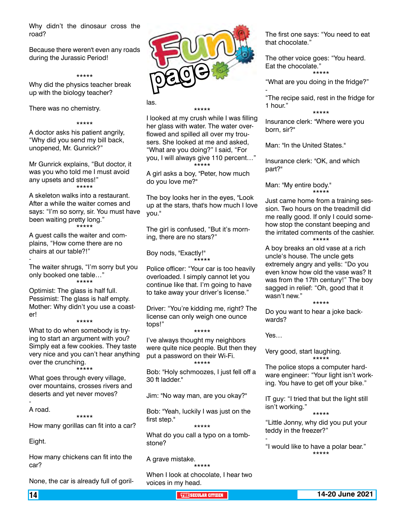Why didn't the dinosaur cross the road?

Because there weren't even any roads during the Jurassic Period!

#### \*\*\*\*\*

Why did the physics teacher break up with the biology teacher?

There was no chemistry.

#### \*\*\*\*\*

A doctor asks his patient angrily, "Why did you send my bill back, unopened, Mr. Gunrick?"

Mr Gunrick explains, "But doctor, it was you who told me I must avoid any upsets and stress!" \*\*\*\*\*

A skeleton walks into a restaurant. After a while the waiter comes and says: "I'm so sorry, sir. You must have been waiting pretty long." \*\*\*\*\*

A guest calls the waiter and complains, "How come there are no chairs at our table?!"

The waiter shrugs, "I'm sorry but you only booked one table…" \*\*\*\*\*

Optimist: The glass is half full. Pessimist: The glass is half empty. Mother: Why didn't you use a coaster!

#### \*\*\*\*\*

What to do when somebody is trying to start an argument with you? Simply eat a few cookies. They taste very nice and you can't hear anything over the crunching. \*\*\*\*\*

What goes through every village, over mountains, crosses rivers and deserts and yet never moves?

A road.

-

-

#### \*\*\*\*\*

How many gorillas can fit into a car?

Eight.

How many chickens can fit into the car?

None, the car is already full of goril-



las.

#### \*\*\*\*\*

I looked at my crush while I was filling her glass with water. The water overflowed and spilled all over my trousers. She looked at me and asked, "What are you doing?" I said, "For you, I will always give 110 percent…" \*\*\*\*\*

A girl asks a boy, "Peter, how much do you love me?"

The boy looks her in the eyes, "Look up at the stars, that's how much I love you."

The girl is confused, "But it's morning, there are no stars?"

Boy nods, "Exactly!" \*\*\*\*\*

Police officer: "Your car is too heavily overloaded. I simply cannot let you continue like that. I'm going to have to take away your driver's license."

Driver: "You're kidding me, right? The license can only weigh one ounce tops!"

\*\*\*\*\* I've always thought my neighbors were quite nice people. But then they put a password on their Wi-Fi. \*\*\*\*\*

Bob: "Holy schmoozes, I just fell off a 30 ft ladder."

Jim: "No way man, are you okay?"

Bob: "Yeah, luckily I was just on the first step."

\*\*\*\*\*

What do you call a typo on a tombstone?

A grave mistake.

\*\*\*\*\* When I look at chocolate, I hear two voices in my head.

The first one says: "You need to eat that chocolate."

The other voice goes: "You heard. Eat the chocolate." \*\*\*\*\*

"What are you doing in the fridge?"

"The recipe said, rest in the fridge for 1 hour."

\*\*\*\*\*

Insurance clerk: "Where were you born, sir?"

Man: "In the United States."

-

Insurance clerk: "OK, and which part?"

Man: "My entire body." \*\*\*\*\*

Just came home from a training session. Two hours on the treadmill did me really good. If only I could somehow stop the constant beeping and the irritated comments of the cashier. \*\*\*\*\*

A boy breaks an old vase at a rich uncle's house. The uncle gets extremely angry and yells: "Do you even know how old the vase was? It was from the 17th century!" The boy sagged in relief: "Oh, good that it wasn't new."

\*\*\*\*\*

Do you want to hear a joke backwards?

Yes…

-

Very good, start laughing. \*\*\*\*\*

The police stops a computer hardware engineer: "Your light isn't working. You have to get off your bike."

IT guy: "I tried that but the light still isn't working."

\*\*\*\*\*

"Little Jonny, why did you put your teddy in the freezer?"

"I would like to have a polar bear." \*\*\*\*\*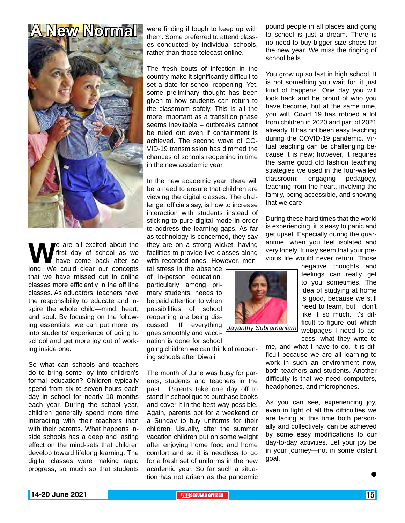## **A New Normal**



We are all excited about the first day of school as we have come back after so long. We could clear our concepts first day of school as we have come back after so that we have missed out in online classes more efficiently in the off line classes. As educators, teachers have the responsibility to educate and inspire the whole child—mind, heart, and soul. By focusing on the following essentials, we can put more joy into students' experience of going to school and get more joy out of working inside one.

So what can schools and teachers do to bring some joy into children's formal education? Children typically spend from six to seven hours each day in school for nearly 10 months each year. During the school year, children generally spend more time interacting with their teachers than with their parents. What happens inside schools has a deep and lasting effect on the mind-sets that children develop toward lifelong learning. The digital classes were making rapid progress, so much so that students

were finding it tough to keep up with them. Some preferred to attend classes conducted by individual schools, rather than those telecast online.

The fresh bouts of infection in the country make it significantly difficult to set a date for school reopening. Yet, some preliminary thought has been given to how students can return to the classroom safely. This is all the more important as a transition phase seems inevitable – outbreaks cannot be ruled out even if containment is achieved. The second wave of CO-VID-19 transmission has dimmed the chances of schools reopening in time in the new academic year.

In the new academic year, there will be a need to ensure that children are viewing the digital classes. The challenge, officials say, is how to increase interaction with students instead of sticking to pure digital mode in order to address the learning gaps. As far as technology is concerned, they say they are on a strong wicket, having facilities to provide live classes along with recorded ones. However, men-

tal stress in the absence of in-person education, particularly among primary students, needs to be paid attention to when possibilities of school reopening are being discussed. If everything goes smoothly and vaccination is done for school

going children we can think of reopening schools after Diwali.

The month of June was busy for parents, students and teachers in the past. Parents take one day off to stand in school que to purchase books and cover it in the best way possible. Again, parents opt for a weekend or a Sunday to buy uniforms for their children. Usually, after the summer vacation children put on some weight after enjoying home food and home comfort and so it is needless to go for a fresh set of uniforms in the new academic year. So far such a situation has not arisen as the pandemic pound people in all places and going to school is just a dream. There is no need to buy bigger size shoes for the new year. We miss the ringing of school bells.

You grow up so fast in high school. It is not something you wait for, it just kind of happens. One day you will look back and be proud of who you have become, but at the same time, you will. Covid 19 has robbed a lot from children in 2020 and part of 2021 already. It has not been easy teaching during the COVID-19 pandemic. Virtual teaching can be challenging because it is new; however, it requires the same good old fashion teaching strategies we used in the four-walled classroom: engaging pedagogy, teaching from the heart, involving the family, being accessible, and showing that we care.

During these hard times that the world is experiencing, it is easy to panic and get upset. Especially during the quarantine, when you feel isolated and very lonely. It may seem that your previous life would never return. Those



*Jayanthy Subramaniam*

negative thoughts and feelings can really get to you sometimes. The idea of studying at home is good, because we still need to learn, but I don't like it so much. It's difficult to figure out which webpages I need to access, what they write to

me, and what I have to do. It is difficult because we are all learning to work in such an environment now, both teachers and students. Another difficulty is that we need computers, headphones, and microphones.

As you can see, experiencing joy, even in light of all the difficulties we are facing at this time both personally and collectively, can be achieved by some easy modifications to our day-to-day activities. Let your joy be in your journey—not in some distant goal.

 $\bullet$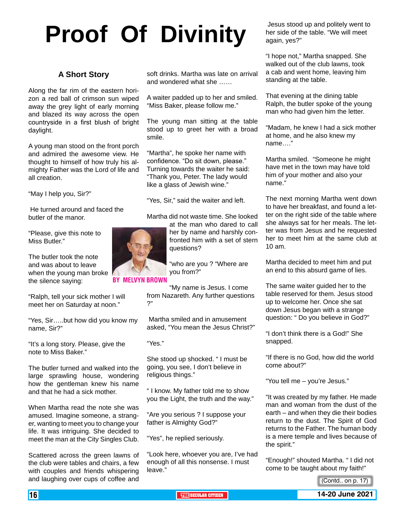# **Proof Of Divinity**

#### **A Short Story**

Along the far rim of the eastern horizon a red ball of crimson sun wiped away the grey light of early morning and blazed its way across the open countryside in a first blush of bright daylight.

A young man stood on the front porch and admired the awesome view. He thought to himself of how truly his almighty Father was the Lord of life and all creation.

"May I help you, Sir?"

 He turned around and faced the butler of the manor.

"Please, give this note to Miss Butler."

The butler took the note and was about to leave when the young man broke the silence saying:

"Ralph, tell your sick mother I will meet her on Saturday at noon."

"Yes, Sir…..but how did you know my name, Sir?"

"It's a long story. Please, give the note to Miss Baker."

The butler turned and walked into the large sprawling house, wondering how the gentleman knew his name and that he had a sick mother.

When Martha read the note she was amused. Imagine someone, a stranger, wanting to meet you to change your life. It was intriguing. She decided to meet the man at the City Singles Club.

Scattered across the green lawns of the club were tables and chairs, a few with couples and friends whispering and laughing over cups of coffee and soft drinks. Martha was late on arrival and wondered what she ……

A waiter padded up to her and smiled. "Miss Baker, please follow me."

The young man sitting at the table stood up to greet her with a broad smile.

"Martha", he spoke her name with confidence. "Do sit down, please." Turning towards the waiter he said: "Thank you, Peter. The lady would like a glass of Jewish wine."

"Yes, Sir," said the waiter and left.

Martha did not waste time. She looked at the man who dared to call

her by name and harshly confronted him with a set of stern questions?

"who are you ? "Where are you from?"

By Melvyn Brown

"My name is Jesus. I come from Nazareth. Any further questions ?"

 Martha smiled and in amusement asked, "You mean the Jesus Christ?"

"Yes."

She stood up shocked. " I must be going, you see, I don't believe in religious things."

" I know. My father told me to show you the Light, the truth and the way."

"Are you serious ? I suppose your father is Almighty God?"

"Yes", he replied seriously.

"Look here, whoever you are, I've had enough of all this nonsense. I must leave."

 Jesus stood up and politely went to her side of the table. "We will meet again, yes?"

"I hope not," Martha snapped. She walked out of the club lawns, took a cab and went home, leaving him standing at the table.

That evening at the dining table Ralph, the butler spoke of the young man who had given him the letter.

"Madam, he knew I had a sick mother at home, and he also knew my name…."

Martha smiled. "Someone he might have met in the town may have told him of your mother and also your name."

The next morning Martha went down to have her breakfast, and found a letter on the right side of the table where she always sat for her meals. The letter was from Jesus and he requested her to meet him at the same club at 10 am.

Martha decided to meet him and put an end to this absurd game of lies.

The same waiter guided her to the table reserved for them. Jesus stood up to welcome her. Once she sat down Jesus began with a strange question: " Do you believe in God?"

"I don't think there is a God!" She snapped.

"If there is no God, how did the world come about?"

"You tell me – you're Jesus."

"It was created by my father. He made man and woman from the dust of the earth – and when they die their bodies return to the dust. The Spirit of God returns to the Father. The human body is a mere temple and lives because of the spirit."

"Enough!" shouted Martha. " I did not come to be taught about my faith!"





<sup>(</sup>Contd.. on p. 17)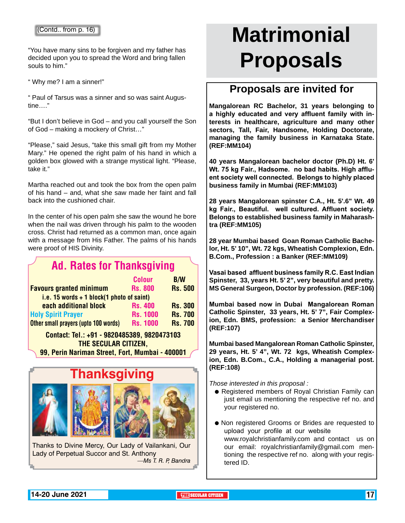"You have many sins to be forgiven and my father has decided upon you to spread the Word and bring fallen souls to him."

" Why me? I am a sinner!"

" Paul of Tarsus was a sinner and so was saint Augustine…."

"But I don't believe in God – and you call yourself the Son of God – making a mockery of Christ…"

"Please," said Jesus, "take this small gift from my Mother Mary." He opened the right palm of his hand in which a golden box glowed with a strange mystical light. "Please, take it."

Martha reached out and took the box from the open palm of his hand – and, what she saw made her faint and fall back into the cushioned chair.

In the center of his open palm she saw the wound he bore when the nail was driven through his palm to the wooden cross. Christ had returned as a common man, once again with a message from His Father. The palms of his hands were proof of HIS Divinity.

### Ad. Rates for Thanksgiving

|                                             | <b>Colour</b>   | <b>B/W</b>     |  |  |  |
|---------------------------------------------|-----------------|----------------|--|--|--|
| <b>Favours granted minimum</b>              | <b>Rs. 800</b>  | <b>Rs. 500</b> |  |  |  |
| i.e. 15 words $+$ 1 block(1 photo of saint) |                 |                |  |  |  |
| each additional block                       | <b>Rs. 400</b>  | <b>Rs. 300</b> |  |  |  |
| <b>Holy Spirit Prayer</b>                   | <b>Rs. 1000</b> | <b>Rs. 700</b> |  |  |  |
| Other small prayers (upto 100 words)        | <b>Rs. 1000</b> | <b>Rs. 700</b> |  |  |  |
| .                                           |                 |                |  |  |  |

#### Contact: Tel.: +91 - 9820485389, 9820473103 The Secular Citizen, 99, Perin Nariman Street, Fort, Mumbai - 400001



Thanks to Divine Mercy, Our Lady of Vailankani, Our Lady of Perpetual Succor and St. Anthony *—Ms T. R. P, Bandra*

# **Matrimonial Proposals**

#### **Proposals are invited for**

**Mangalorean RC Bachelor, 31 years belonging to a highly educated and very affluent family with interests in healthcare, agriculture and many other sectors, Tall, Fair, Handsome, Holding Doctorate, managing the family business in Karnataka State. (REF:MM104)**

**40 years Mangalorean bachelor doctor (Ph.D) Ht. 6' Wt. 75 kg Fair., Hadsome. no bad habits. High affluent society well connected. Belongs to highly placed business family in Mumbai (REF:MM103)**

**28 years Mangalorean spinster C.A., Ht. 5'.6" Wt. 49 kg Fair., Beautiful. well cultured. Affluent society. Belongs to established business family in Maharashtra (REF:MM105)**

**28 year Mumbai based Goan Roman Catholic Bachelor, Ht. 5' 10", Wt. 72 kgs, Wheatish Complexion, Edn. B.Com., Profession : a Banker (REF:MM109)**

**Vasai based affluent business family R.C. East Indian Spinster, 33, years Ht. 5' 2", very beautiful and pretty. MS General Surgeon, Doctor by profession. (REF:106)**

**Mumbai based now in Dubai Mangalorean Roman Catholic Spinster, 33 years, Ht. 5' 7", Fair Complexion, Edn. BMS, profession: a Senior Merchandiser (REF:107)**

**Mumbai based Mangalorean Roman Catholic Spinster, 29 years, Ht. 5' 4", Wt. 72 kgs, Wheatish Complexion, Edn. B.Com., C.A., Holding a managerial post. (REF:108)** 

#### *Those interested in this proposal :*

- Registered members of Royal Christian Family can just email us mentioning the respective ref no. and your registered no.
- Non registered Grooms or Brides are requested to upload your profile at our website www.royalchristianfamily.com and contact us on our email: royalchristianfamily@gmail.com mentioning the respective ref no. along with your registered ID.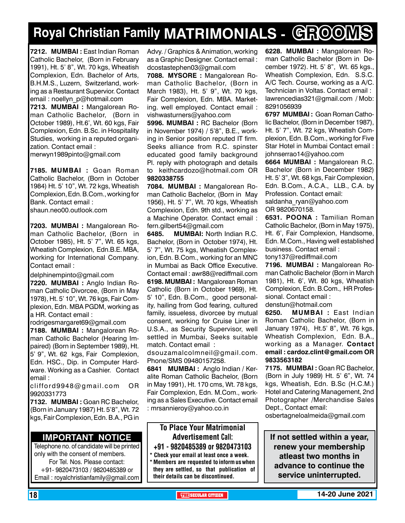## **Royal Christian Family MATRIMONIALS - GROOMS**

**7212. MUMBAI :** East Indian Roman Catholic Bachelor, (Born in February 1991), Ht. 5' 8", Wt. 70 kgs, Wheatish Complexion, Edn. Bachelor of Arts, B.H.M.S., Luzern, Switzerland, working as a Restaurant Supervior. Contact email : noellyn\_p@hotmail.com **7213. MUMBAI :** Mangalorean Roman Catholic Bachelor, (Born in October 1989), Ht.6', Wt. 60 kgs, Fair Complexion, Edn. B.Sc. in Hospitality Studies, working in a reputed organization. Contact email : merwyn1989pinto@gmail.com

**7185. MUMBAI :** Goan Roman Catholic Bachelor, (Born in October 1984) Ht. 5' 10", Wt. 72 kgs, Wheatish Complexion, Edn. B.Com., working for Bank. Contact email : shaun.neo00.outlook.com

**7203. MUMBAI :** Mangalorean Roman Catholic Bachelor, (Born in October 1985), Ht. 5' 7", Wt. 65 kgs, Wheatish Complexion, Edn.B.E. MBA, working for International Company. Contact email :

delphinempinto@gmail.com **7220. MUMBAI :** Anglo Indian Roman Catholic Divorcee, (Born in May 1978), Ht. 5' 10", Wt. 76 kgs, Fair Complexion, Edn. MBA PGDM, working as a HR. Contact email :

rodrigesmargaret69@gmail.com **7188. MUMBAI :** Mangalorean Ro-

man Catholic Bachelor (Hearing Impaired) (Born in September 1989), Ht. 5' 9", Wt. 62 kgs, Fair Complexion, Edn. HSC., Dip. in Computer Hardware. Working as a Cashier. Contact email :

clifford9948@gmail.com OR 9920331773

**7132. MUMBAI :** Goan RC Bachelor, (Born in January 1987) Ht. 5'8", Wt. 72 kgs, Fair Complexion, Edn. B.A., PG in

#### **Important Notice**

Telephone no. of candidate will be printed only with the consent of members. For Tel. Nos. Please contact: +91- 9820473103 / 9820485389 or Email : royalchristianfamily@gmail.com

Advy. / Graphics & Animation, working as a Graphic Designer. Contact email : dcostastephen03@gmail.com

**7088. MYSORE :** Mangalorean Roman Catholic Bachelor, (Born in March 1983), Ht. 5' 9", Wt. 70 kgs, Fair Complexion, Edn. MBA. Marketing. well employed. Contact email : vishwasturners@yahoo.com

**5996. MUMBAI :** RC Bachelor (Born in November 1974) / 5'8", B.E., working in Senior position reputed IT firm. Seeks alliance from R.C. spinster educated good family background Pl. reply with photograph and details to keithcardozo@hotmail.com OR 9820338755

**7084. MUMBAI :** Mangalorean Roman Catholic Bachelor, (Born in May 1956), Ht. 5' 7", Wt. 70 kgs, Wheatish Complexion, Edn. 9th std., working as a Machine Operator. Contact email : fern.gilbert54@gmail.com

**6485. MUMBAI:** North Indian R.C. Bachelor, (Born in October 1974), Ht. 5' 7", Wt. 75 kgs, Wheatish Complexion, Edn. B.Com., working for an MNC in Mumbai as Back Office Executive. Contact email : awr88@rediffmail.com **6198. MUMBAI :** Mangalorean Roman Catholic (Born in October 1969), Ht. 5' 10", Edn. B.Com., good personality, hailing from God fearing, cultured family, issueless, divorcee by mutual consent, working for Cruise Liner in U.S.A., as Security Supervisor, well settled in Mumbai, Seeks suitable match. Contact email :

dsouzamalcolmneil@gmail.com. Phone/SMS 09480157258.

**6841 MuMBAI :** Anglo Indian / Keralite Roman Catholic Bachelor, (Born in May 1991), Ht. 170 cms, Wt. 78 kgs, Fair Complexion, Edn. M.Com., working as a Sales Executive. Contact email : mrsannieroy@yahoo.co.in

#### To Place Your Matrimonial Advertisement Call: +91 - 9820485389 or 9820473103

Check your email at least once a week.

Members are requested to inform us when they are settled, so that publication of their details can be discontinued.

**6228. MUMBAI :** Mangalorean Roman Catholic Bachelor (Born in December 1972). Ht. 5' 8", Wt. 65 kgs., Wheatish Complexion, Edn. S.S.C. A/C Tech. Course, working as a A/C. Technician in Voltas. Contact email : lawrencedias321@gmail.com / Mob: 8291056939

**6797 MUMBAI :** Goan Roman Catholic Bachelor, (Born in December 1987), Ht. 5' 7", Wt. 72 kgs, Wheatish Complexion, Edn. B.Com., working for Five Star Hotel in Mumbai Contact email : johnserrao14@yahoo.com

**6664 MUMBAI :** Mangalorean R.C. Bachelor (Born in December 1982) Ht. 5' 3", Wt. 68 kgs, Fair Complexion, Edn. B.Com., A.C.A., LLB., C.A. by Profession. Contact email: saldanha\_ryan@yahoo.com OR 9820670158.

**6531. POONA :** Tamilian Roman Catholic Bachelor, (Born in May 1975), Ht. 6', Fair Complexion, Handsome, Edn. M.Com., Having well established business. Contact email : tony137@rediffmail.com

**7196. MUMBAI :** Mangalorean Roman Catholic Bachelor (Born in March 1981), Ht. 6', Wt. 80 kgs, Wheatish Complexion, Edn. B.Com., HR Professional. Contact email :

denstun@hotmail.com

**6250. MUMBAI :** East Indian Roman Catholic Bachelor, (Born in January 1974), Ht.5' 8", Wt. 76 kgs, Wheatish Complexion, Edn. B.A., working as a Manager. Contact email : cardoz.clint@gmail.com OR 9833563182

**7175. MUMBAI :** Goan RC Bachelor, (Born in July 1989) Ht. 5' 6", Wt. 74 kgs, Wheatish, Edn. B.Sc (H.C.M.) Hotel and Catering Management, 2nd Photographer /Merchandise Sales Dept., Contact email:

osbertagneloalmeida@gmail.com

**If not settled within a year, renew your membership atleast two months in advance to continue the service uninterrupted.**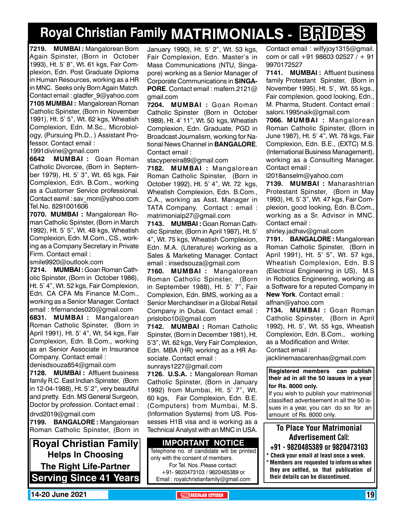## **Royal Christian Family MATRIMONIALS - BRIDES**

**7219. MUMBAI :** Mangalorean Born Again Spinster, (Born in October 1993), Ht. 5' 8", Wt. 61 kgs, Fair Complexion, Edn. Post Graduate Diploma in Human Resources, working as a HR in MNC. Seeks only Born Again Match. Contact email : gladfer\_9@yahoo.com **7105 MUMBAI :** Mangalorean Roman Catholic Spinster, (Born in November 1991), Ht. 5' 5", Wt. 62 kgs, Wheatish Complexion, Edn. M.Sc., Microbiology, (Pursuing Ph.D., ) Assistant Professor. Contact email :

1991divine@gmail.com

**6642 MUMBAI :** Goan Roman Catholic Divorcee, (Born in September 1979), Ht. 5' 3", Wt. 65 kgs, Fair Complexion, Edn. B.Com., working as a Customer Service professional. Contact eamil : sav\_mon@yahoo.com Tel.No. 8291001606

**7070. MUMBAI :** Mangalorean Roman Catholic Spinster, (Born in March 1992), Ht. 5' 5", Wt. 48 kgs, Wheatish Complexion, Edn. M.Com., CS., working as a Company Secretary in Private Firm. Contact email :

smile9920@outlook.com

**7214. MUMBAI :** Goan Roman Catholic Spinster, (Born in October 1986), Ht. 5' 4", Wt. 52 kgs, Fair Complexion, Edn. CA CFA Ms Finance M.Com., working as a Senior Manager. Contact email : frfernandes020@gmail.com

**6831. MUMBAI :** Mangalorean Roman Catholic Spinster, (Born in April 1991), Ht. 5' 4", Wt. 54 kgs, Fair Complexion, Edn. B.Com., working as an Senior Associate in Insurance Company. Contact email :

denisdsouza854@gmail.com **7128. MUMBAI :** Affluent business

family R.C. East Indian Spinster, (Born in 12-04-1988), Ht. 5' 2", very beautiful and pretty. Edn. MS General Surgeon, Doctor by profession. Contact email : drvd2019@gmail.com

**7199. BANGALORE :** Mangalorean Roman Catholic Spinster, (Born in

**Royal Christian Family Helps In Choosing The Right Life-Partner Serving Since 41 Years** January 1990), Ht. 5' 2", Wt. 53 kgs, Fair Complexion, Edn. Master's in Mass Communications (NTU, Singapore) working as a Senior Manager of Corporate Communications in **SINGA-PORE**. Contact email : mafern.2121@ gmail.com

**7204. MUMBAI :** Goan Roman Catholic Spinster (Born in October 1989), Ht. 4' 11", Wt. 50 kgs, Wheatish Complexion, Edn. Graduate, PGD in Broadcast Journalism, working for National News Channel in **Bangalore**. Contact email :

stacypereira89@gmail.com

**7182. MUMBAI :** Mangalorean Roman Catholic Spinster, (Born in October 1992), Ht. 5' 4", Wt. 72 kgs, Wheatish Complexion, Edn. B.Com., C.A., working as Asst. Manager in TATA Company. Contact : email : matrimonialp27@gmail.com

**7143. MUMBAI :** Goan Roman Catholic Spinster, (Born in April 1987), Ht. 5' 4", Wt. 75 kgs, Wheatish Complexion, Edn. M.A. (Literature) working as a Sales & Marketing Manager. Contact email : irisedsouza@gmail.com

**7160. MUMBAI :** Mangalorean Roman Catholic Spinster, (Born in September 1988), Ht. 5' 7", Fair Complexion, Edn. BMS, working as a Senior Merchandiser in a Global Retail Company in Dubai. Contact email : prislobo10@gmail.com

**7142. MUMBAI :** Roman Catholic Spinster, (Born in December 1981), Ht. 5'3", Wt. 62 kgs, Very Fair Complexion, Edn. MBA (HR) working as a HR Associate. Contact email :

sunrays1227@gmail.com

**7126. U.S.A. :** Mangalorean Roman Catholic Spinster, (Born in January 1992) from Mumbai, Ht. 5' 7", Wt. 60 kgs, Fair Complexion, Edn. B.E. (Computers) from Mumbai, M.S. (Information Systems) from US. Possesses H1B visa and is working as a Technical Analyst with an MNC in USA.

#### **Important Notice**

Telephone no. of candidate will be printed only with the consent of members. For Tel. Nos. Please contact: +91- 9820473103 / 9820485389 or Email : royalchristianfamily@gmail.com

Contact email : wilfyjoy1315@gmail. com or call +91 98603 02527 / + 91 9970172527

**7141. MUMBAI :** Affluent business family Protestant Spinster, (Born in November 1995), Ht. 5', Wt. 55 kgs., Fair complexion, good looking, Edn., M. Pharma, Student. Contact email : saloni.1995naik@gmail.com

**7066. MUMBAI :** Mangalorean Roman Catholic Spinster, (Born in June 1987), Ht. 5' 4", Wt. 78 kgs, Fair Complexion, Edn. B.E., (EXTC) M.S. (International Business Management), working as a Consulting Manager. Contact email :

l2018anselm@yahoo.com

**7139. MUMBAI :** Maharashtrian Protestant Spinster, (Born in May 1993), Ht. 5' 3", Wt. 47 kgs, Fair Complexion, good looking, Edn. B.Com., working as a Sr. Advisor in MNC. Contact email :

shirley.jadhav@gmail.com

**7191. BANGALORE :** Mangalorean Roman Catholic Spinster, (Born in April 1991), Ht. 5' 5", Wt. 57 kgs, Wheatish Complexion, Edn. B.S (Electrical Engineering in US), M.S in Robotics Engineering, working as a Software for a reputed Company in **New York**. Contact email : alfnan@yahoo.com

**7134. MUMBAI :** Goan Roman Catholic Spinster, (Born in April 1992), Ht. 5', Wt. 55 kgs, Wheatish Complexion, Edn. B.Com., working as a Modification and Writer. Contact email :

jacklinemascarenhas@gmail.com

**Registered members can publish their ad in all the 50 issues in a year for Rs. 8000 only.**

If you wish to publish your matrimonial classified advertisement in all the 50 issues in a year, you can do so for an amount of Rs. 8000 only.

#### To Place Your Matrimonial Advertisement Call:

- +91 9820485389 or 9820473103
- Check your email at least once a week. \* Members are requested to inform us when they are settled, so that publication of their details can be discontinued.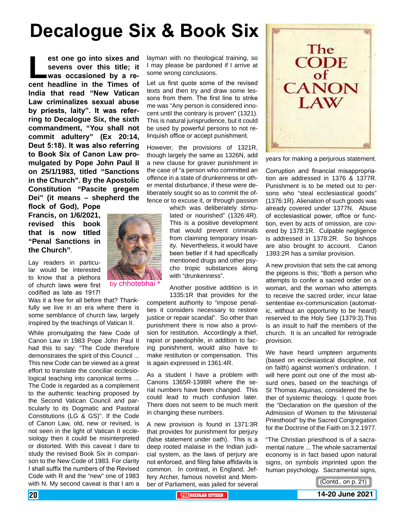# **Decalogue Six & Book Six**

**Lest one go into sixes and sevens over this title; it** was occasioned by a recent headline in the Times of **sevens over this title; it was occasioned by a re-India that read "New Vatican Law criminalizes sexual abuse by priests, laity". It was referring to Decalogue Six, the sixth commandment, "You shall not commit adultery" (Ex 20:14, Deut 5:18). It was also referring to Book Six of Canon Law promulgated by Pope John Paul II on 25/1/1983, titled "Sanctions in the Church". By the Apostolic Constitution "Pascite gregem Dei" (it means – shepherd the** 

**flock of God), Pope Francis, on 1/6/2021, revised this book that is now titled "Penal Sanctions in the Church"**.

Lay readers in particular would be interested to know that a plethora of church laws were first codified as late as 1917!

Was it a free for all before that? Thankfully we live in an era where there is some semblance of church law, largely inspired by the teachings of Vatican II.

While promulgating the New Code of Canon Law in 1983 Pope John Paul II had this to say: "The Code therefore demonstrates the spirit of this Council ... This new Code can be viewed as a great effort to translate the conciliar ecclesiological teaching into canonical terms ... The Code is regarded as a complement to the authentic teaching proposed by the Second Vatican Council and particularly to its Dogmatic and Pastoral Constitutions (LG & GS)". If the Code of Canon Law, old, new or revised, is not seen in the light of Vatican II ecclesiology then it could be misinterpreted or distorted. With this caveat I dare to study the revised Book Six in comparison to the New Code of 1983. For clarity I shall suffix the numbers of the Revised Code with R and the "new" one of 1983 with N. My second caveat is that I am a

layman with no theological training, so I may please be pardoned if I arrive at some wrong conclusions.

Let us first quote some of the revised texts and then try and draw some lessons from them. The first line to strike me was "Any person is considered innocent until the contrary is proven" (1321). This is natural jurisprudence, but it could be used by powerful persons to not relinquish office or accept punishment.

However, the provisions of 1321R, though largely the same as 1326N, add a new clause for graver punishment in the case of "a person who committed an offence in a state of drunkenness or other mental disturbance, if these were deliberately sought so as to commit the offence or to excuse it, or through passion

> which was deliberately stimulated or nourished" (1326:4R). This is a positive development that would prevent criminals from claiming temporary insanity. Nevertheless, it would have been better if it had specifically mentioned drugs and other psycho tropic substances along with "drunkenness".

> Another positive addition is in 1335:1R that provides for the

competent authority to "impose penalties it considers necessary to restore justice or repair scandal". So other than punishment there is now also a provision for restitution. Accordingly a thief, rapist or paedophile, in addition to facing punishment, would also have to make restitution or compensation. This is again expressed in 1361:4R.

As a student I have a problem with Canons 1365R-1398R where the serial numbers have been changed. This could lead to much confusion later. There does not seem to be much merit in changing these numbers.

A new provision is found in 1371:3R that provides for punishment for perjury (false statement under oath). This is a deep rooted malaise in the Indian judicial system, as the laws of perjury are not enforced, and filing false affidavits is common. In contrast, in England, Jeffery Archer, famous novelist and Member of Parliament, was jailed for several



years for making a perjurous statement.

Corruption and financial misappropriation are addressed in 1376 & 1377R. Punishment is to be meted out to persons who "steal ecclesiastical goods" (1376:1R). Alienation of such goods was already covered under 1377N. Abuse of ecclesiastical power, office or function, even by acts of omission, are covered by 1378:1R. Culpable negligence is addressed in 1378:2R. So bishops are also brought to account. Canon 1393:2R has a similar provision.

A new provision that sets the cat among the pigeons is this; "Both a person who attempts to confer a sacred order on a woman, and the woman who attempts to receive the sacred order, incur latae sententiae ex-communication (automatic, without an opportunity to be heard) reserved to the Holy See (1379:3).This is an insult to half the members of the church. It is an uncalled for retrograde provision.

We have heard umpteen arguments (based on ecclesiastical discipline, not on faith) against women's ordination. I will here point out one of the most absurd ones, based on the teachings of St Thomas Aquinas, considered the father of systemic theology. I quote from the "Declaration on the question of the Admission of Women to the Ministerial Priesthood" by the Sacred Congregation for the Doctrine of the Faith on 3.2.1977.

"The Christian priesthood is of a sacramental nature ... The whole sacramental economy is in fact based upon natural signs, on symbols imprinted upon the human psychology. Sacramental signs,



20 **THE SECULAR CITIZEN 14-20 June 2021**

<sup>(</sup>Contd.. on p. 21)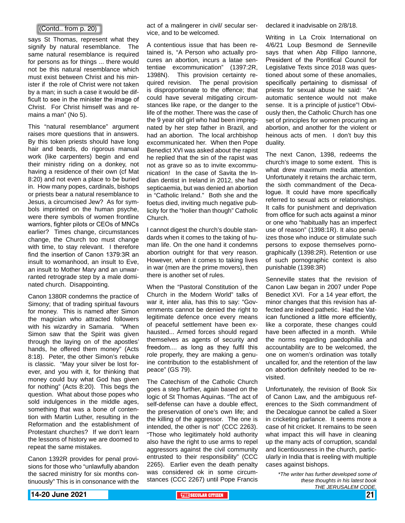#### (Contd.. from p. 20)

says St Thomas, represent what they signify by natural resemblance. The same natural resemblance is required for persons as for things ... there would not be this natural resemblance which must exist between Christ and his minister if the role of Christ were not taken by a man; in such a case it would be difficult to see in the minister the image of Christ. For Christ himself was and remains a man" (No 5).

This "natural resemblance" argument raises more questions that in answers. By this token priests should have long hair and beards, do rigorous manual work (like carpenters) begin and end their ministry riding on a donkey, not having a residence of their own (cf Mat 8:20) and not even a place to be buried in. How many popes, cardinals, bishops or priests bear a natural resemblance to Jesus, a circumcised Jew? As for symbols imprinted on the human psyche, were there symbols of women frontline warriors, fighter pilots or CEOs of MNCs earlier? Times change, circumstances change, the Church too must change with time, to stay relevant. I therefore find the insertion of Canon 1379:3R an insult to womanhood, an insult to Eve, an insult to Mother Mary and an unwarranted retrograde step by a male dominated church. Disappointing.

Canon 1380R condemns the practice of Simony; that of trading spiritual favours for money. This is named after Simon the magician who attracted followers with his wizardry in Samaria. "When Simon saw that the Spirit was given through the laying on of the apostles' hands, he offered them money" (Acts 8:18). Peter, the other Simon's rebuke is classic. "May your silver be lost forever, and you with it, for thinking that money could buy what God has given for nothing" (Acts 8:20). This begs the question. What about those popes who sold indulgences in the middle ages, something that was a bone of contention with Martin Luther, resulting in the Reformation and the establishment of Protestant churches? If we don't learn the lessons of history we are doomed to repeat the same mistakes.

Canon 1392R provides for penal provisions for those who "unlawfully abandon the sacred ministry for six months continuously" This is in consonance with the

act of a malingerer in civil/ secular service, and to be welcomed.

A contentious issue that has been retained is, "A Person who actually procures an abortion, incurs a latae sententiae excommunication" (1397:2R, 1398N). This provision certainty required revision. The penal provision is disproportionate to the offence; that could have several mitigating circumstances like rape, or the danger to the life of the mother. There was the case of the 9 year old girl who had been impregnated by her step father in Brazil, and had an abortion. The local archbishop excommunicated her. When then Pope Benedict XVI was asked about the rapist he replied that the sin of the rapist was not as grave so as to invite excommunication! In the case of Savita the Indian dentist in Ireland in 2012, she had septicaemia, but was denied an abortion in "Catholic Ireland." Both she and the foetus died, inviting much negative publicity for the "holier than though" Catholic Church.

I cannot digest the church's double standards when it comes to the taking of human life. On the one hand it condemns abortion outright for that very reason. However, when it comes to taking lives in war (men are the prime movers), then there is another set of rules.

When the "Pastoral Constitution of the Church in the Modern World" talks of war it, inter alia, has this to say: "Governments cannot be denied the right to legitimate defence once every means of peaceful settlement have been exhausted... Armed forces should regard themselves as agents of security and freedom.... as long as they fulfil this role properly, they are making a genuine contribution to the establishment of peace" (GS 79).

The Catechism of the Catholic Church goes a step further, again based on the logic of St Thomas Aquinas. "The act of self-defense can have a double effect, the preservation of one's own life; and the killing of the aggressor. The one is intended, the other is not" (CCC 2263). "Those who legitimately hold authority also have the right to use arms to repel aggressors against the civil community entrusted to their responsibility" (CCC 2265). Earlier even the death penalty was considered ok in some circumstances (CCC 2267) until Pope Francis declared it inadvisable on 2/8/18.

Writing in La Croix International on 4/6/21 Loup Besmond de Senneville says that when Abp Fillipo lannone. President of the Pontifical Council for Legislative Texts since 2018 was questioned about some of these anomalies, specifically pertaining to dismissal of priests for sexual abuse he said: "An automatic sentence would not make sense. It is a principle of justice"! Obviously then, the Catholic Church has one set of principles for women procuring an abortion, and another for the violent or heinous acts of men. I don't buy this duality.

The next Canon, 1398, redeems the church's image to some extent. This is what drew maximum media attention. Unfortunately it retains the archaic term, the sixth commandment of the Decalogue. It could have more specifically referred to sexual acts or relationships. It calls for punishment and deprivation from office for such acts against a minor or one who "habitually has an imperfect use of reason" (1398:1R). It also penalizes those who induce or stimulate such persons to expose themselves pornographically (1398:2R). Retention or use of such pornographic context is also punishable (1398:3R)

Senneville states that the revision of Canon Law began in 2007 under Pope Benedict XVI. For a 14 year effort, the minor changes that this revision has affected are indeed pathetic. Had the Vatican functioned a little more efficiently, like a corporate, these changes could have been affected in a month. While the norms regarding paedophilia and accountability are to be welcomed, the one on women's ordination was totally uncalled for, and the retention of the law on abortion definitely needed to be revisited.

Unfortunately, the revision of Book Six of Canon Law, and the ambiguous references to the Sixth commandment of the Decalogue cannot be called a Sixer in cricketing parlance. It seems more a case of hit cricket. It remains to be seen what impact this will have in cleaning up the many acts of corruption, scandal and licentiousness in the church, particularly in India that is reeling with multiple cases against bishops.

> *\*The writer has further developed some of these thoughts in his latest book THE JERUSALEM CODE.*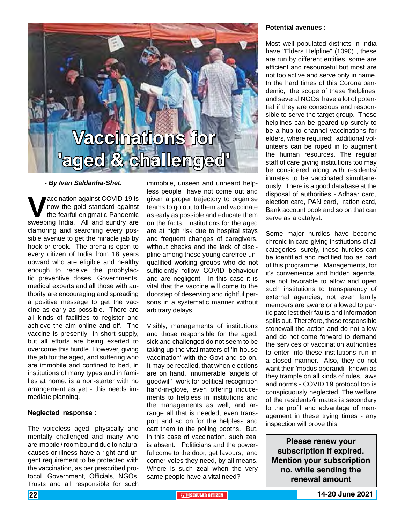# **Vaccinations for 'aged & challenged'**

#### *- By Ivan Saldanha-Shet.*

**V**accination against COVID-19 is<br>the fearful enigmatic Pandemic<br>sweeping India. All and sundry are now the gold standard against the fearful enigmatic Pandemic sweeping India. All and sundry are clamoring and searching every possible avenue to get the miracle jab by hook or crook. The arena is open to every citizen of India from 18 years upward who are eligible and healthy enough to receive the prophylactic preventive doses. Governments, medical experts and all those with authority are encouraging and spreading a positive message to get the vaccine as early as possible. There are all kinds of facilities to register and achieve the aim online and off. The vaccine is presently in short supply, but all efforts are being exerted to overcome this hurdle. However, giving the jab for the aged, and suffering who are immobile and confined to bed, in institutions of many types and in families at home, is a non-starter with no arrangement as yet - this needs immediate planning.

#### **Neglected response :**

The voiceless aged, physically and mentally challenged and many who are imobile / room bound due to natural causes or illness have a right and urgent requirement to be protected with the vaccination, as per prescribed protocol. Government, Officials, NGOs, Trusts and all responsible for such

immobile, unseen and unheard helpless people have not come out and given a proper trajectory to organise teams to go out to them and vaccinate as early as possible and educate them on the facts. Institutions for the aged are at high risk due to hospital stays and frequent changes of caregivers, without checks and the lack of discipline among these young carefree unqualified working groups who do not sufficiently follow COVID behaviour and are negligent. In this case it is vital that the vaccine will come to the doorstep of deserving and rightful persons in a systematic manner without arbitrary delays.

Visibly, managements of institutions and those responsible for the aged, sick and challenged do not seem to be taking up the vital matters of 'in-house vaccination' with the Govt and so on. It may be recalled, that when elections are on hand, innumerable 'angels of goodwill' work for political recognition hand-in-glove, even offering inducements to helpless in institutions and the managements as well, and arrange all that is needed, even transport and so on for the helpless and cart them to the polling booths. But, in this case of vaccination, such zeal is absent. Politicians and the powerful come to the door, get favours, and corner votes they need, by all means. Where is such zeal when the very same people have a vital need?

#### **Potential avenues :**

Most well populated districts in India have "Elders Helpline" (1090) , these are run by different entities, some are efficient and resourceful but most are not too active and serve only in name. In the hard times of this Corona pandemic, the scope of these 'helplines' and several NGOs have a lot of potential if they are conscious and responsible to serve the target group. These helplines can be geared up surely to be a hub to channel vaccinations for elders, where required; additional volunteers can be roped in to augment the human resources. The regular staff of care giving institutions too may be considered along with residents/ inmates to be vaccinated simultaneously. There is a good database at the disposal of authorities - Adhaar card, election card, PAN card, ration card, Bank account book and so on that can serve as a catalyst.

Some major hurdles have become chronic in care-giving institutions of all categories; surely, these hurdles can be identified and rectified too as part of this programme. Managements, for it's convenience and hidden agenda, are not favorable to allow and open such institutions to transparency of external agencies, not even family members are aware or allowed to participate lest their faults and information spills out. Therefore, those responsible stonewall the action and do not allow and do not come forward to demand the services of vaccination authorities to enter into these institutions run in a closed manner. Also, they do not want their 'modus operandi' known as they trample on all kinds of rules, laws and norms - COVID 19 protocol too is conspicuously neglected. The welfare of the residents/inmates is secondary to the profit and advantage of management in these trying times - any inspection will prove this.

**Please renew your subscription if expired. Mention your subscription no. while sending the renewal amount**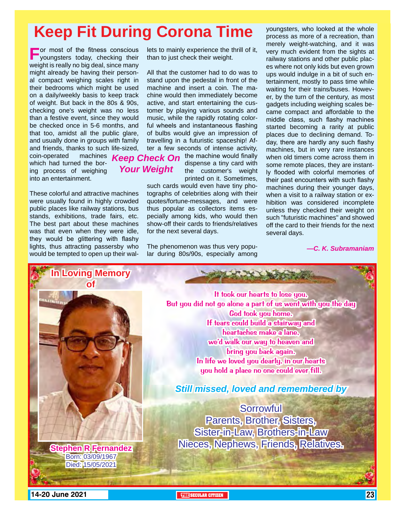## **Keep Fit During Corona Time**

**For most of the fitness conscious**<br>
youngsters today, checking their weight is really no big deal, since many might already be having their personal compact weighing scales right in their bedrooms which might be used on a daily/weekly basis to keep track of weight. But back in the 80s & 90s, checking one's weight was no less than a festive event, since they would be checked once in 5-6 months, and that too, amidst all the public glare, and usually done in groups with family and friends, thanks to such life-sized, coin-operated machines which had turned the boring process of weighing into an entertainment.

These colorful and attractive machines were usually found in highly crowded public places like railway stations, bus stands, exhibitions, trade fairs, etc. The best part about these machines was that even when they were idle, they would be glittering with flashy lights, thus attracting passersby who would be tempted to open up their wallets to mainly experience the thrill of it, than to just check their weight.

All that the customer had to do was to stand upon the pedestal in front of the machine and insert a coin. The machine would then immediately become active, and start entertaining the customer by playing various sounds and music, while the rapidly rotating colorful wheels and instantaneous flashing of bulbs would give an impression of travelling in a futuristic spaceship! After a few seconds of intense activity,

**Keep Check On** the machine would finally *Your Weight*

the customer's weight printed on it. Sometimes, such cards would even have tiny photographs of celebrities along with their

dispense a tiny card with

quotes/fortune-messages, and were thus popular as collectors items especially among kids, who would then show-off their cards to friends/relatives for the next several days.

The phenomenon was thus very popular during 80s/90s, especially among youngsters, who looked at the whole process as more of a recreation, than merely weight-watching, and it was very much evident from the sights at railway stations and other public places where not only kids but even grown ups would indulge in a bit of such entertainment, mostly to pass time while waiting for their trains/buses. However, by the turn of the century, as most gadgets including weighing scales became compact and affordable to the middle class, such flashy machines started becoming a rarity at public places due to declining demand. Today, there are hardly any such flashy machines, but in very rare instances when old timers come across them in some remote places, they are instantly flooded with colorful memories of their past encounters with such flashy machines during their younger days, when a visit to a railway station or exhibition was considered incomplete unless they checked their weight on such "futuristic machines" and showed off the card to their friends for the next several days.

*—C. K. Subramaniam*

**In Loving Memory of**

> Born: 03/09/1967 Died: 15/05/2021

It took our hearts to lose you, But you did not go alone a part of us went with you the day God took you home. If tears could build a stairway and heartaches make a lane, we'd walk our way to heaven and bring you back again. In life we loved you dearly, in our hearts you hold a place no one could ever fill.

The set of the said the said

*Still missed, loved and remembered by*

**Sorrowful** Parents, Brother, Sisters, Sister-in-Law, Brothers-in-Law Nieces, Nephews, Friends, Relatives. **Stephen R Fernandez**

**14-20 June 2021 THE THE THE THE THE THE**